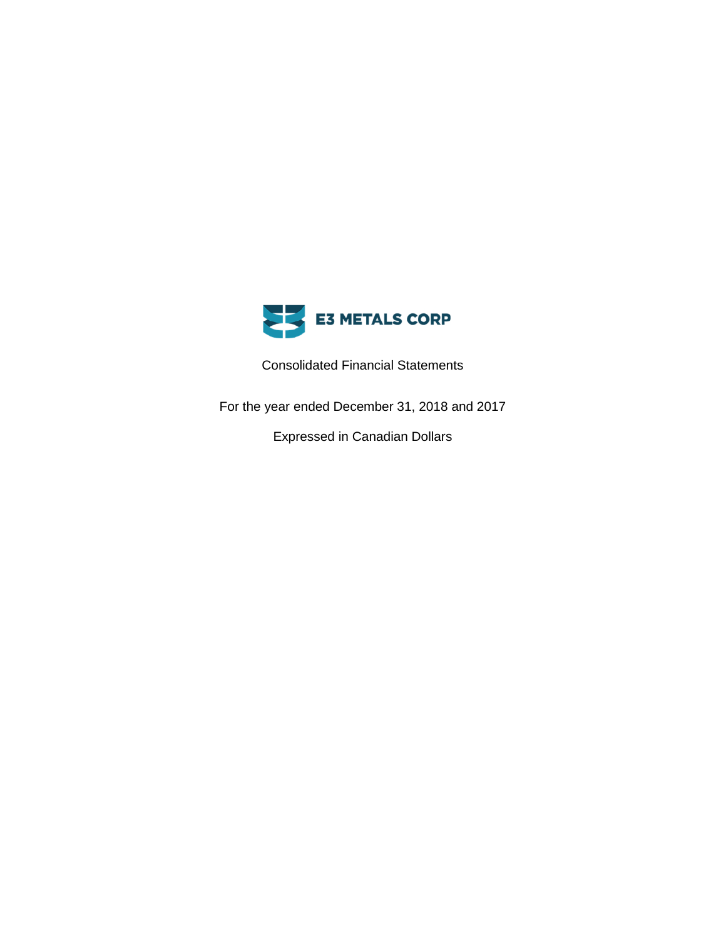

Consolidated Financial Statements

For the year ended December 31, 2018 and 2017

Expressed in Canadian Dollars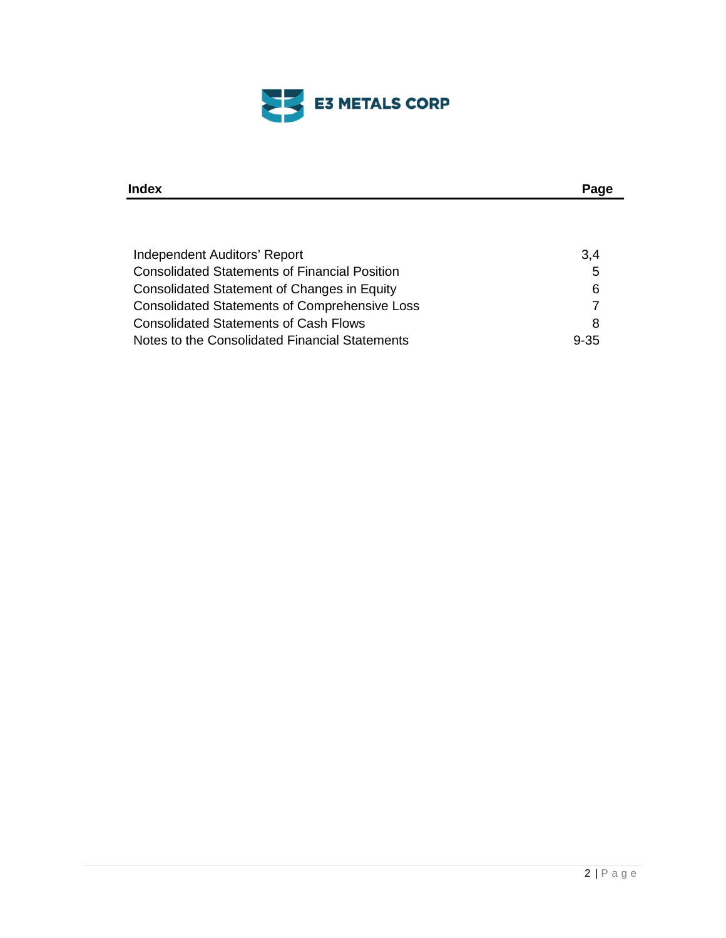

| Index                                                | Page     |
|------------------------------------------------------|----------|
|                                                      |          |
|                                                      |          |
| Independent Auditors' Report                         | 3,4      |
| <b>Consolidated Statements of Financial Position</b> | 5        |
| Consolidated Statement of Changes in Equity          | 6        |
| <b>Consolidated Statements of Comprehensive Loss</b> | 7        |
| <b>Consolidated Statements of Cash Flows</b>         | 8        |
| Notes to the Consolidated Financial Statements       | $9 - 35$ |
|                                                      |          |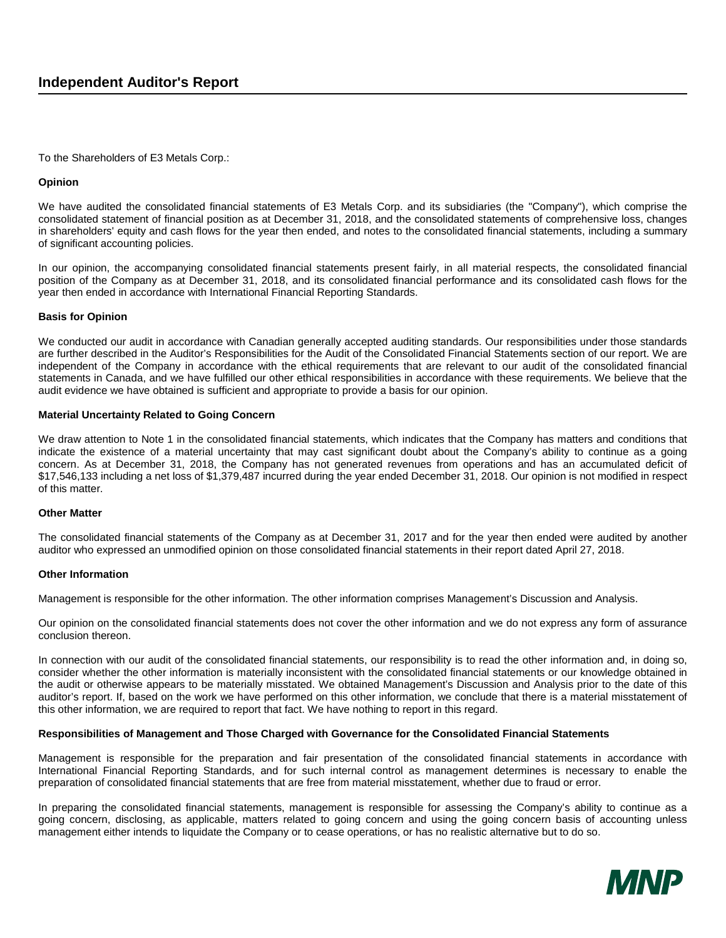To the Shareholders of E3 Metals Corp.:

#### **Opinion**

We have audited the consolidated financial statements of E3 Metals Corp. and its subsidiaries (the "Company"), which comprise the consolidated statement of financial position as at December 31, 2018, and the consolidated statements of comprehensive loss, changes in shareholders' equity and cash flows for the year then ended, and notes to the consolidated financial statements, including a summary of significant accounting policies.

In our opinion, the accompanying consolidated financial statements present fairly, in all material respects, the consolidated financial position of the Company as at December 31, 2018, and its consolidated financial performance and its consolidated cash flows for the year then ended in accordance with International Financial Reporting Standards.

### **Basis for Opinion**

We conducted our audit in accordance with Canadian generally accepted auditing standards. Our responsibilities under those standards are further described in the Auditor's Responsibilities for the Audit of the Consolidated Financial Statements section of our report. We are independent of the Company in accordance with the ethical requirements that are relevant to our audit of the consolidated financial statements in Canada, and we have fulfilled our other ethical responsibilities in accordance with these requirements. We believe that the audit evidence we have obtained is sufficient and appropriate to provide a basis for our opinion.

#### **Material Uncertainty Related to Going Concern**

We draw attention to Note 1 in the consolidated financial statements, which indicates that the Company has matters and conditions that indicate the existence of a material uncertainty that may cast significant doubt about the Company's ability to continue as a going concern. As at December 31, 2018, the Company has not generated revenues from operations and has an accumulated deficit of \$17,546,133 including a net loss of \$1,379,487 incurred during the year ended December 31, 2018. Our opinion is not modified in respect of this matter.

#### **Other Matter**

The consolidated financial statements of the Company as at December 31, 2017 and for the year then ended were audited by another auditor who expressed an unmodified opinion on those consolidated financial statements in their report dated April 27, 2018.

### **Other Information**

Management is responsible for the other information. The other information comprises Management's Discussion and Analysis.

Our opinion on the consolidated financial statements does not cover the other information and we do not express any form of assurance conclusion thereon.

In connection with our audit of the consolidated financial statements, our responsibility is to read the other information and, in doing so, consider whether the other information is materially inconsistent with the consolidated financial statements or our knowledge obtained in the audit or otherwise appears to be materially misstated. We obtained Management's Discussion and Analysis prior to the date of this auditor's report. If, based on the work we have performed on this other information, we conclude that there is a material misstatement of this other information, we are required to report that fact. We have nothing to report in this regard.

### **Responsibilities of Management and Those Charged with Governance for the Consolidated Financial Statements**

Management is responsible for the preparation and fair presentation of the consolidated financial statements in accordance with International Financial Reporting Standards, and for such internal control as management determines is necessary to enable the preparation of consolidated financial statements that are free from material misstatement, whether due to fraud or error.

In preparing the consolidated financial statements, management is responsible for assessing the Company's ability to continue as a going concern, disclosing, as applicable, matters related to going concern and using the going concern basis of accounting unless management either intends to liquidate the Company or to cease operations, or has no realistic alternative but to do so.

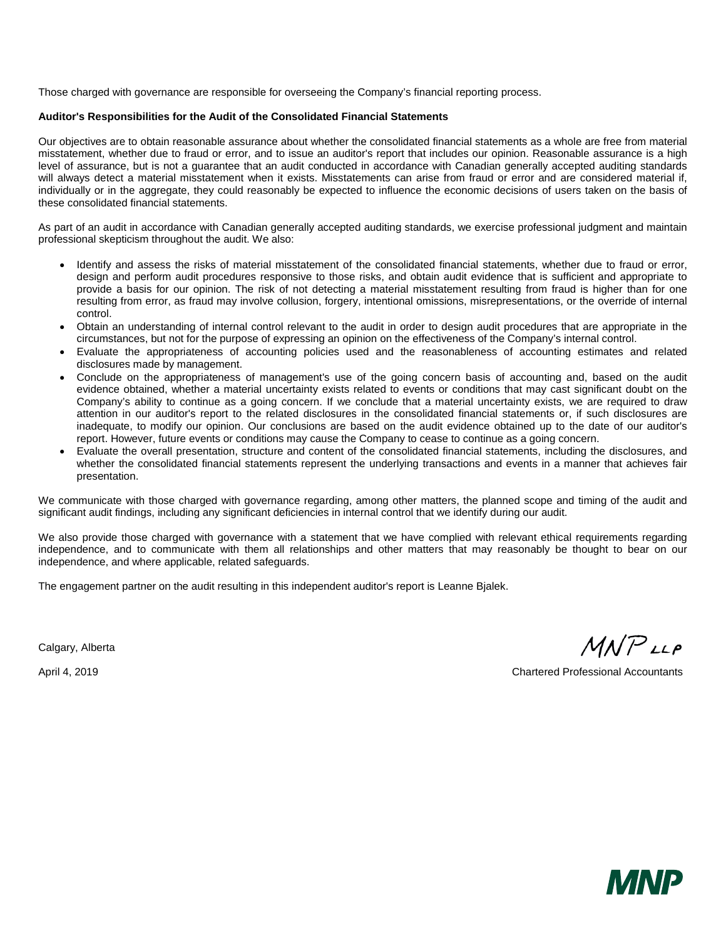Those charged with governance are responsible for overseeing the Company's financial reporting process.

### **Auditor's Responsibilities for the Audit of the Consolidated Financial Statements**

Our objectives are to obtain reasonable assurance about whether the consolidated financial statements as a whole are free from material misstatement, whether due to fraud or error, and to issue an auditor's report that includes our opinion. Reasonable assurance is a high level of assurance, but is not a guarantee that an audit conducted in accordance with Canadian generally accepted auditing standards will always detect a material misstatement when it exists. Misstatements can arise from fraud or error and are considered material if, individually or in the aggregate, they could reasonably be expected to influence the economic decisions of users taken on the basis of these consolidated financial statements.

As part of an audit in accordance with Canadian generally accepted auditing standards, we exercise professional judgment and maintain professional skepticism throughout the audit. We also:

- Identify and assess the risks of material misstatement of the consolidated financial statements, whether due to fraud or error, design and perform audit procedures responsive to those risks, and obtain audit evidence that is sufficient and appropriate to provide a basis for our opinion. The risk of not detecting a material misstatement resulting from fraud is higher than for one resulting from error, as fraud may involve collusion, forgery, intentional omissions, misrepresentations, or the override of internal control.
- Obtain an understanding of internal control relevant to the audit in order to design audit procedures that are appropriate in the circumstances, but not for the purpose of expressing an opinion on the effectiveness of the Company's internal control.
- Evaluate the appropriateness of accounting policies used and the reasonableness of accounting estimates and related disclosures made by management.
- Conclude on the appropriateness of management's use of the going concern basis of accounting and, based on the audit evidence obtained, whether a material uncertainty exists related to events or conditions that may cast significant doubt on the Company's ability to continue as a going concern. If we conclude that a material uncertainty exists, we are required to draw attention in our auditor's report to the related disclosures in the consolidated financial statements or, if such disclosures are inadequate, to modify our opinion. Our conclusions are based on the audit evidence obtained up to the date of our auditor's report. However, future events or conditions may cause the Company to cease to continue as a going concern.
- Evaluate the overall presentation, structure and content of the consolidated financial statements, including the disclosures, and whether the consolidated financial statements represent the underlying transactions and events in a manner that achieves fair presentation.

We communicate with those charged with governance regarding, among other matters, the planned scope and timing of the audit and significant audit findings, including any significant deficiencies in internal control that we identify during our audit.

We also provide those charged with governance with a statement that we have complied with relevant ethical requirements regarding independence, and to communicate with them all relationships and other matters that may reasonably be thought to bear on our independence, and where applicable, related safeguards.

The engagement partner on the audit resulting in this independent auditor's report is Leanne Bjalek.

Calgary, Alberta

MNPLLP

April 4, 2019 Chartered Professional Accountants

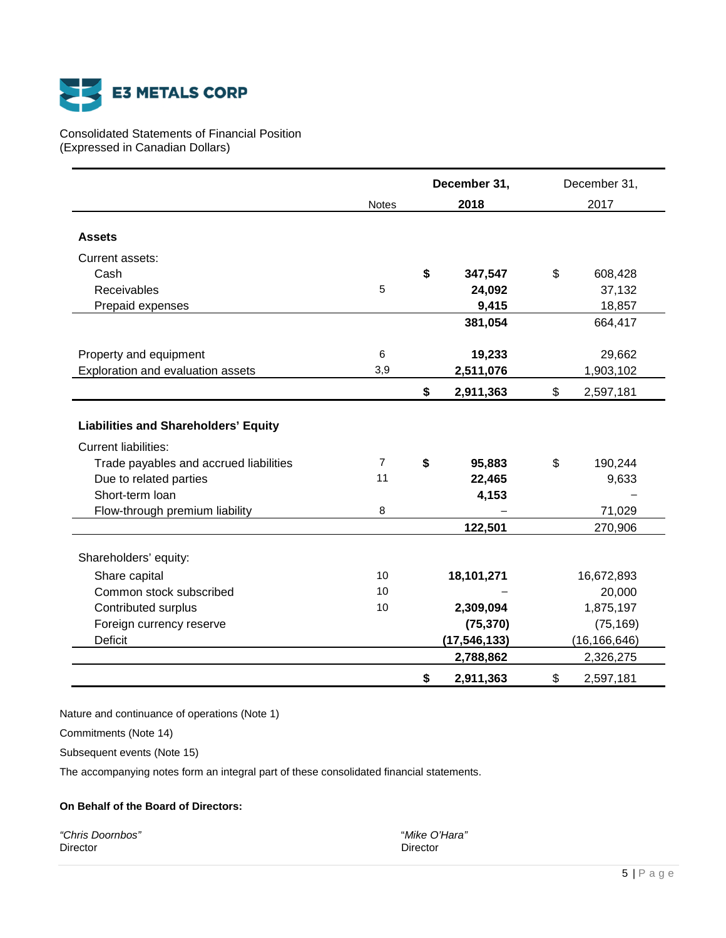

# Consolidated Statements of Financial Position (Expressed in Canadian Dollars)

|                                                                            |                | December 31, |                | December 31,    |
|----------------------------------------------------------------------------|----------------|--------------|----------------|-----------------|
|                                                                            | <b>Notes</b>   |              | 2018           | 2017            |
|                                                                            |                |              |                |                 |
| <b>Assets</b>                                                              |                |              |                |                 |
| Current assets:                                                            |                |              |                |                 |
| Cash                                                                       |                | \$           | 347,547        | \$<br>608,428   |
| Receivables                                                                | 5              |              | 24,092         | 37,132          |
| Prepaid expenses                                                           |                |              | 9,415          | 18,857          |
|                                                                            |                |              | 381,054        | 664,417         |
| Property and equipment                                                     | 6              |              | 19,233         | 29,662          |
| Exploration and evaluation assets                                          | 3,9            |              | 2,511,076      | 1,903,102       |
|                                                                            |                | \$           | 2,911,363      | \$<br>2,597,181 |
| <b>Liabilities and Shareholders' Equity</b><br><b>Current liabilities:</b> |                |              |                |                 |
| Trade payables and accrued liabilities                                     | $\overline{7}$ | \$           | 95,883         | \$<br>190,244   |
| Due to related parties                                                     | 11             |              | 22,465         | 9,633           |
| Short-term loan                                                            |                |              | 4,153          |                 |
| Flow-through premium liability                                             | 8              |              |                | 71,029          |
|                                                                            |                |              | 122,501        | 270,906         |
| Shareholders' equity:                                                      |                |              |                |                 |
| Share capital                                                              | 10             |              | 18,101,271     | 16,672,893      |
| Common stock subscribed                                                    | 10             |              |                | 20,000          |
| Contributed surplus                                                        | 10             |              | 2,309,094      | 1,875,197       |
| Foreign currency reserve                                                   |                |              | (75, 370)      | (75, 169)       |
| Deficit                                                                    |                |              | (17, 546, 133) | (16, 166, 646)  |
|                                                                            |                |              | 2,788,862      | 2,326,275       |
|                                                                            |                | \$           | 2,911,363      | \$<br>2,597,181 |

Nature and continuance of operations (Note 1)

Commitments (Note 14)

Subsequent events (Note 15)

The accompanying notes form an integral part of these consolidated financial statements.

# **On Behalf of the Board of Directors:**

*"Chris Doornbos"* "*Mike O'Hara"* Director **Director** Director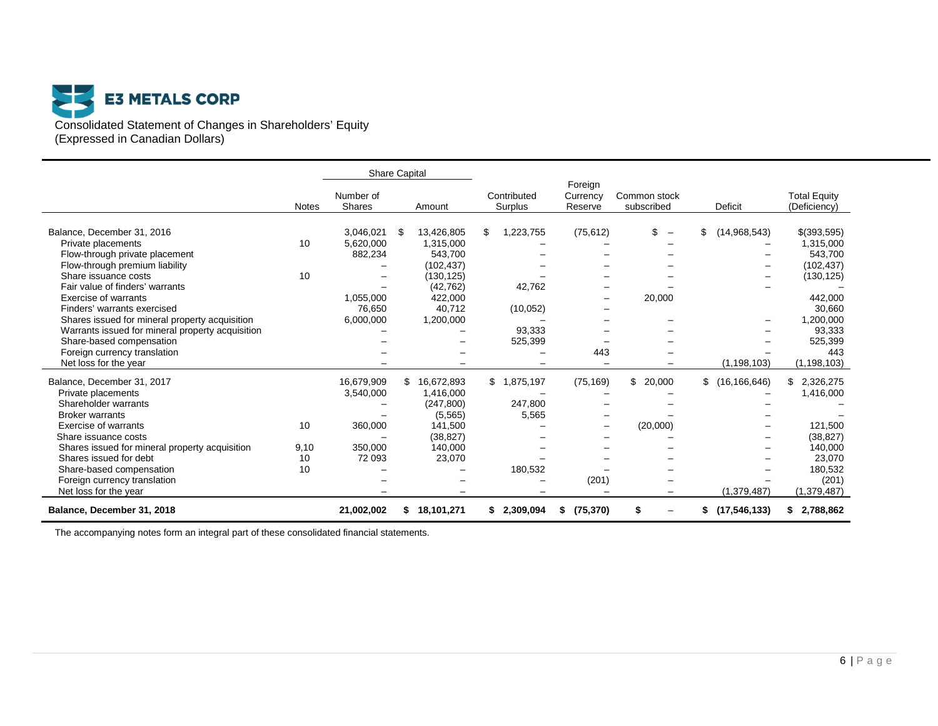

|                                                  |              | <b>Share Capital</b>       |        |            |                           |                                |                                |    |                  |                                     |
|--------------------------------------------------|--------------|----------------------------|--------|------------|---------------------------|--------------------------------|--------------------------------|----|------------------|-------------------------------------|
|                                                  | <b>Notes</b> | Number of<br><b>Shares</b> | Amount |            | Contributed<br>Surplus    | Foreign<br>Currency<br>Reserve | Common stock<br>subscribed     |    | <b>Deficit</b>   | <b>Total Equity</b><br>(Deficiency) |
| Balance, December 31, 2016                       |              | 3,046,021                  | -\$    | 13,426,805 | \$<br>1,223,755           | (75, 612)                      | \$<br>$\overline{\phantom{m}}$ | S  | (14,968,543)     | $$$ (393,595)                       |
| Private placements                               | 10           | 5,620,000                  |        | 1,315,000  |                           |                                |                                |    |                  | 1,315,000                           |
| Flow-through private placement                   |              | 882,234                    |        | 543,700    |                           |                                |                                |    |                  | 543,700                             |
| Flow-through premium liability                   |              |                            |        | (102, 437) |                           |                                |                                |    |                  | (102, 437)                          |
| Share issuance costs                             | 10           | -                          |        | (130, 125) |                           |                                |                                |    | -                | (130, 125)                          |
| Fair value of finders' warrants                  |              |                            |        | (42, 762)  | 42,762                    |                                |                                |    |                  |                                     |
| Exercise of warrants                             |              | 1,055,000                  |        | 422,000    |                           |                                | 20,000                         |    |                  | 442,000                             |
| Finders' warrants exercised                      |              | 76,650                     |        | 40,712     | (10, 052)                 |                                |                                |    |                  | 30,660                              |
| Shares issued for mineral property acquisition   |              | 6,000,000                  |        | 1,200,000  |                           |                                |                                |    |                  | 1,200,000                           |
| Warrants issued for mineral property acquisition |              |                            |        |            | 93,333                    |                                |                                |    |                  | 93,333                              |
| Share-based compensation                         |              |                            |        |            | 525,399                   |                                |                                |    |                  | 525,399                             |
| Foreign currency translation                     |              |                            |        |            |                           | 443                            |                                |    |                  | 443                                 |
| Net loss for the year                            |              |                            |        |            |                           |                                |                                |    | (1, 198, 103)    | (1, 198, 103)                       |
| Balance, December 31, 2017                       |              | 16,679,909                 | \$     | 16,672,893 | ,875,197<br>$\frac{1}{2}$ | (75, 169)                      | \$20,000                       |    | \$(16, 166, 646) | \$2,326,275                         |
| Private placements                               |              | 3,540,000                  |        | 1,416,000  |                           |                                |                                |    |                  | 1,416,000                           |
| Shareholder warrants                             |              |                            |        | (247, 800) | 247,800                   |                                |                                |    |                  |                                     |
| <b>Broker warrants</b>                           |              |                            |        | (5, 565)   | 5,565                     |                                |                                |    |                  |                                     |
| Exercise of warrants                             | 10           | 360,000                    |        | 141,500    |                           |                                | (20,000)                       |    |                  | 121,500                             |
| Share issuance costs                             |              |                            |        | (38, 827)  |                           |                                |                                |    |                  | (38, 827)                           |
| Shares issued for mineral property acquisition   | 9,10         | 350,000                    |        | 140,000    |                           |                                |                                |    |                  | 140,000                             |
| Shares issued for debt                           | 10           | 72 093                     |        | 23,070     |                           |                                |                                |    |                  | 23,070                              |
| Share-based compensation                         | 10           |                            |        |            | 180,532                   |                                |                                |    |                  | 180,532                             |
| Foreign currency translation                     |              |                            |        |            |                           | (201)                          |                                |    |                  | (201)                               |
| Net loss for the year                            |              |                            |        |            |                           |                                |                                |    | (1,379,487)      | (1,379,487)                         |
| Balance, December 31, 2018                       |              | 21,002,002                 | \$     | 18,101,271 | \$2,309,094               | (75, 370)<br>\$                | S                              | \$ | (17, 546, 133)   | \$2,788,862                         |

The accompanying notes form an integral part of these consolidated financial statements.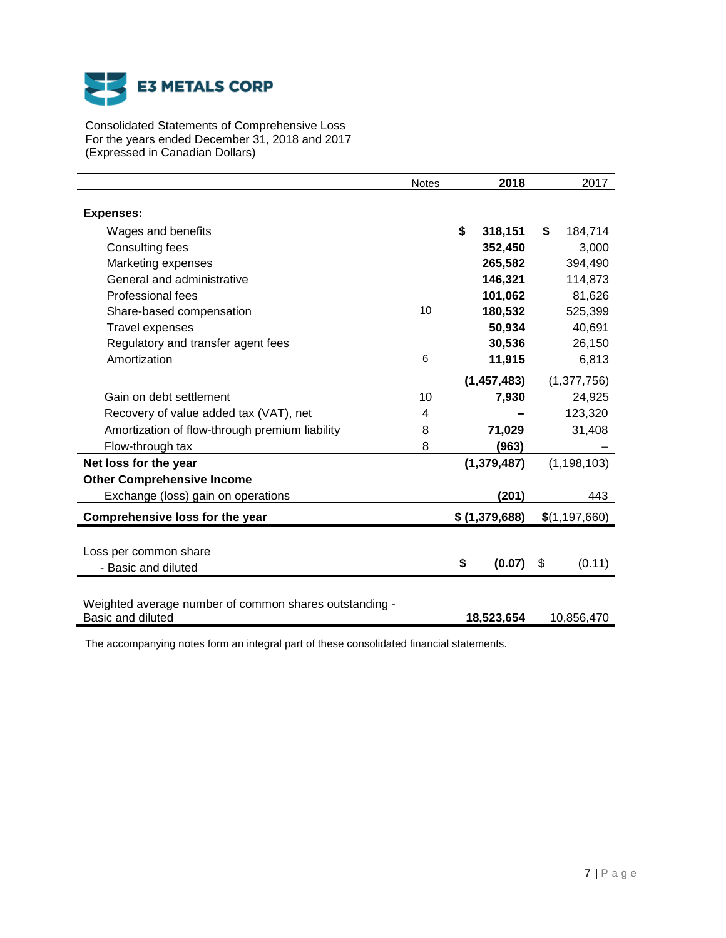

Consolidated Statements of Comprehensive Loss For the years ended December 31, 2018 and 2017 (Expressed in Canadian Dollars)

|                                                                             | <b>Notes</b> | 2018          | 2017            |
|-----------------------------------------------------------------------------|--------------|---------------|-----------------|
| <b>Expenses:</b>                                                            |              |               |                 |
| Wages and benefits                                                          |              | \$<br>318,151 | \$<br>184,714   |
| Consulting fees                                                             |              | 352,450       | 3,000           |
| Marketing expenses                                                          |              | 265,582       | 394,490         |
| General and administrative                                                  |              | 146,321       | 114,873         |
| Professional fees                                                           |              | 101,062       | 81,626          |
| Share-based compensation                                                    | 10           | 180,532       | 525,399         |
| <b>Travel expenses</b>                                                      |              | 50,934        | 40,691          |
| Regulatory and transfer agent fees                                          |              | 30,536        | 26,150          |
| Amortization                                                                | 6            | 11,915        | 6,813           |
|                                                                             |              | (1, 457, 483) | (1,377,756)     |
| Gain on debt settlement                                                     | 10           | 7,930         | 24,925          |
| Recovery of value added tax (VAT), net                                      | 4            |               | 123,320         |
| Amortization of flow-through premium liability                              | 8            | 71,029        | 31,408          |
| Flow-through tax                                                            | 8            | (963)         |                 |
| Net loss for the year                                                       |              | (1, 379, 487) | (1, 198, 103)   |
| <b>Other Comprehensive Income</b>                                           |              |               |                 |
| Exchange (loss) gain on operations                                          |              | (201)         | 443             |
| Comprehensive loss for the year                                             |              | \$(1,379,688) | \$(1, 197, 660) |
|                                                                             |              |               |                 |
| Loss per common share                                                       |              |               |                 |
| - Basic and diluted                                                         |              | \$<br>(0.07)  | \$<br>(0.11)    |
|                                                                             |              |               |                 |
| Weighted average number of common shares outstanding -<br>Basic and diluted |              | 18,523,654    | 10,856,470      |

The accompanying notes form an integral part of these consolidated financial statements.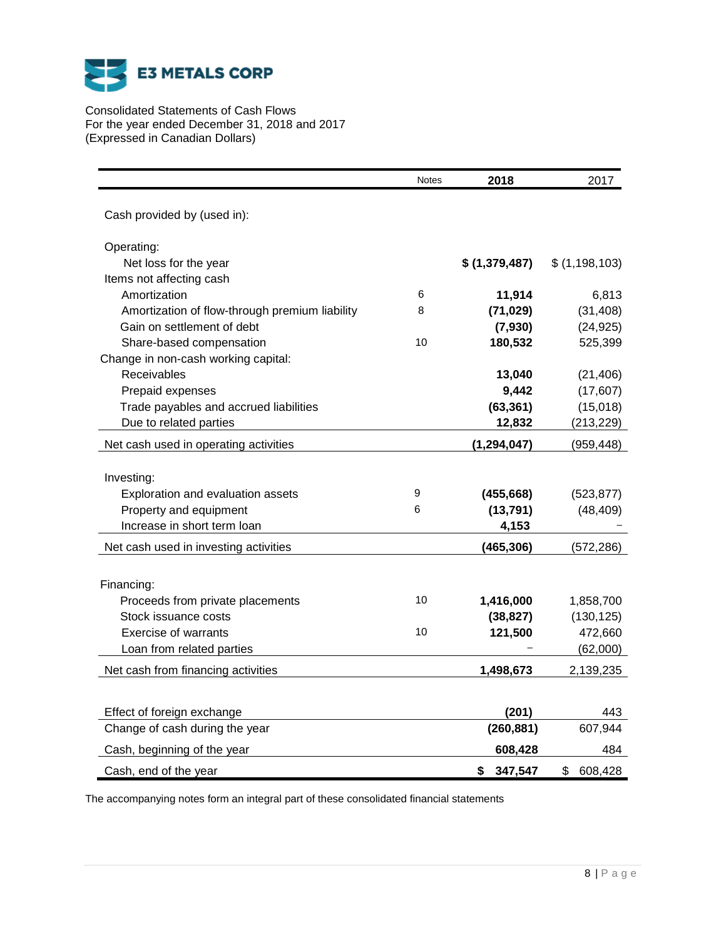

Consolidated Statements of Cash Flows For the year ended December 31, 2018 and 2017 (Expressed in Canadian Dollars)

|                                                | <b>Notes</b> | 2018           | 2017          |
|------------------------------------------------|--------------|----------------|---------------|
| Cash provided by (used in):                    |              |                |               |
| Operating:                                     |              |                |               |
| Net loss for the year                          |              | \$ (1,379,487) | \$(1,198,103) |
| Items not affecting cash                       |              |                |               |
| Amortization                                   | 6            | 11,914         | 6,813         |
| Amortization of flow-through premium liability | 8            | (71, 029)      | (31, 408)     |
| Gain on settlement of debt                     |              | (7,930)        | (24, 925)     |
| Share-based compensation                       | 10           | 180,532        | 525,399       |
| Change in non-cash working capital:            |              |                |               |
| Receivables                                    |              | 13,040         | (21, 406)     |
| Prepaid expenses                               |              | 9,442          | (17, 607)     |
| Trade payables and accrued liabilities         |              | (63, 361)      | (15,018)      |
| Due to related parties                         |              | 12,832         | (213, 229)    |
| Net cash used in operating activities          |              | (1, 294, 047)  | (959, 448)    |
|                                                |              |                |               |
| Investing:                                     |              |                |               |
| Exploration and evaluation assets              | 9            | (455, 668)     | (523, 877)    |
| Property and equipment                         | 6            | (13, 791)      | (48, 409)     |
| Increase in short term loan                    |              | 4,153          |               |
| Net cash used in investing activities          |              | (465, 306)     | (572, 286)    |
| Financing:                                     |              |                |               |
| Proceeds from private placements               | 10           | 1,416,000      | 1,858,700     |
| Stock issuance costs                           |              | (38, 827)      | (130, 125)    |
| <b>Exercise of warrants</b>                    | 10           | 121,500        | 472,660       |
| Loan from related parties                      |              |                | (62,000)      |
| Net cash from financing activities             |              | 1,498,673      | 2,139,235     |
|                                                |              |                |               |
| Effect of foreign exchange                     |              | (201)          | 443           |
| Change of cash during the year                 |              | (260, 881)     | 607,944       |
| Cash, beginning of the year                    |              | 608,428        | 484           |
| Cash, end of the year                          |              | \$<br>347,547  | \$<br>608,428 |

The accompanying notes form an integral part of these consolidated financial statements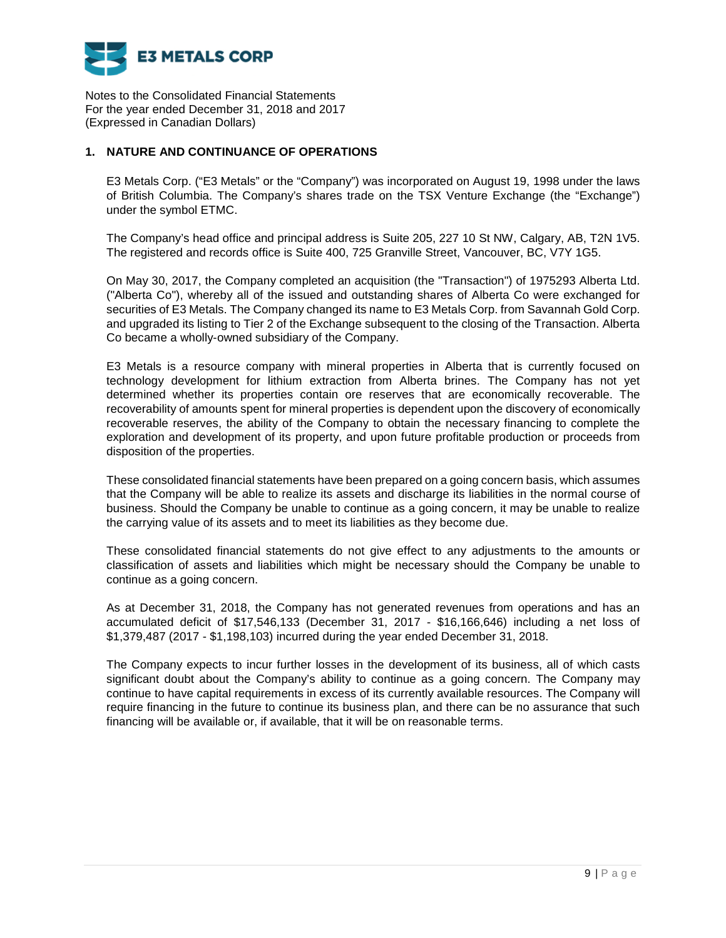

# **1. NATURE AND CONTINUANCE OF OPERATIONS**

E3 Metals Corp. ("E3 Metals" or the "Company") was incorporated on August 19, 1998 under the laws of British Columbia. The Company's shares trade on the TSX Venture Exchange (the "Exchange") under the symbol ETMC.

The Company's head office and principal address is Suite 205, 227 10 St NW, Calgary, AB, T2N 1V5. The registered and records office is Suite 400, 725 Granville Street, Vancouver, BC, V7Y 1G5.

On May 30, 2017, the Company completed an acquisition (the "Transaction") of 1975293 Alberta Ltd. ("Alberta Co"), whereby all of the issued and outstanding shares of Alberta Co were exchanged for securities of E3 Metals. The Company changed its name to E3 Metals Corp. from Savannah Gold Corp. and upgraded its listing to Tier 2 of the Exchange subsequent to the closing of the Transaction. Alberta Co became a wholly-owned subsidiary of the Company.

E3 Metals is a resource company with mineral properties in Alberta that is currently focused on technology development for lithium extraction from Alberta brines. The Company has not yet determined whether its properties contain ore reserves that are economically recoverable. The recoverability of amounts spent for mineral properties is dependent upon the discovery of economically recoverable reserves, the ability of the Company to obtain the necessary financing to complete the exploration and development of its property, and upon future profitable production or proceeds from disposition of the properties.

These consolidated financial statements have been prepared on a going concern basis, which assumes that the Company will be able to realize its assets and discharge its liabilities in the normal course of business. Should the Company be unable to continue as a going concern, it may be unable to realize the carrying value of its assets and to meet its liabilities as they become due.

These consolidated financial statements do not give effect to any adjustments to the amounts or classification of assets and liabilities which might be necessary should the Company be unable to continue as a going concern.

As at December 31, 2018, the Company has not generated revenues from operations and has an accumulated deficit of \$17,546,133 (December 31, 2017 - \$16,166,646) including a net loss of \$1,379,487 (2017 - \$1,198,103) incurred during the year ended December 31, 2018.

The Company expects to incur further losses in the development of its business, all of which casts significant doubt about the Company's ability to continue as a going concern. The Company may continue to have capital requirements in excess of its currently available resources. The Company will require financing in the future to continue its business plan, and there can be no assurance that such financing will be available or, if available, that it will be on reasonable terms.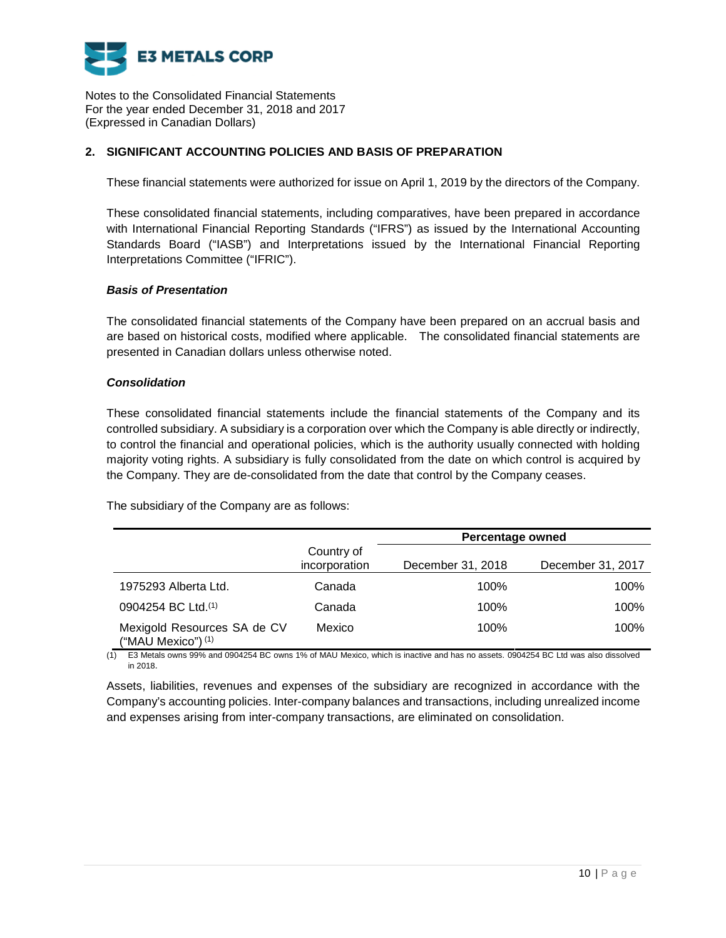

# **2. SIGNIFICANT ACCOUNTING POLICIES AND BASIS OF PREPARATION**

These financial statements were authorized for issue on April 1, 2019 by the directors of the Company.

These consolidated financial statements, including comparatives, have been prepared in accordance with International Financial Reporting Standards ("IFRS") as issued by the International Accounting Standards Board ("IASB") and Interpretations issued by the International Financial Reporting Interpretations Committee ("IFRIC").

# *Basis of Presentation*

The consolidated financial statements of the Company have been prepared on an accrual basis and are based on historical costs, modified where applicable. The consolidated financial statements are presented in Canadian dollars unless otherwise noted.

# *Consolidation*

These consolidated financial statements include the financial statements of the Company and its controlled subsidiary. A subsidiary is a corporation over which the Company is able directly or indirectly, to control the financial and operational policies, which is the authority usually connected with holding majority voting rights. A subsidiary is fully consolidated from the date on which control is acquired by the Company. They are de-consolidated from the date that control by the Company ceases.

The subsidiary of the Company are as follows:

|                                                   |                             | <b>Percentage owned</b> |                   |
|---------------------------------------------------|-----------------------------|-------------------------|-------------------|
|                                                   | Country of<br>incorporation | December 31, 2018       | December 31, 2017 |
| 1975293 Alberta Ltd.                              | Canada                      | 100%                    | 100%              |
| 0904254 BC Ltd.(1)                                | Canada                      | 100%                    | 100%              |
| Mexigold Resources SA de CV<br>("MAU Mexico") (1) | Mexico                      | 100%                    | 100%              |

(1) E3 Metals owns 99% and 0904254 BC owns 1% of MAU Mexico, which is inactive and has no assets. 0904254 BC Ltd was also dissolved in 2018.

Assets, liabilities, revenues and expenses of the subsidiary are recognized in accordance with the Company's accounting policies. Inter-company balances and transactions, including unrealized income and expenses arising from inter-company transactions, are eliminated on consolidation.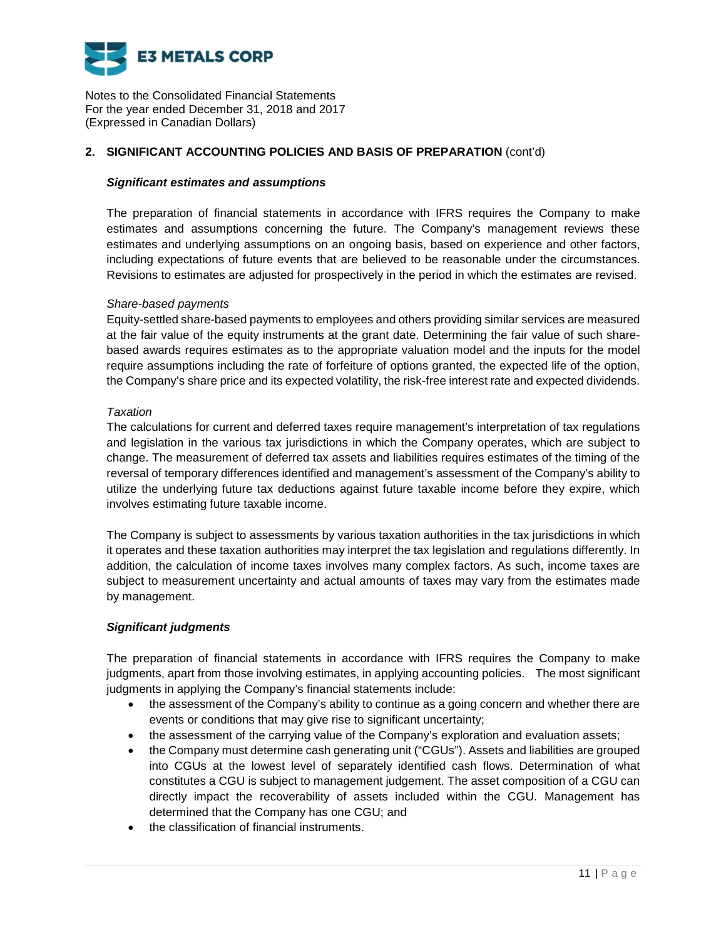

# **2. SIGNIFICANT ACCOUNTING POLICIES AND BASIS OF PREPARATION** (cont'd)

### *Significant estimates and assumptions*

The preparation of financial statements in accordance with IFRS requires the Company to make estimates and assumptions concerning the future. The Company's management reviews these estimates and underlying assumptions on an ongoing basis, based on experience and other factors, including expectations of future events that are believed to be reasonable under the circumstances. Revisions to estimates are adjusted for prospectively in the period in which the estimates are revised.

### *Share-based payments*

Equity-settled share-based payments to employees and others providing similar services are measured at the fair value of the equity instruments at the grant date. Determining the fair value of such sharebased awards requires estimates as to the appropriate valuation model and the inputs for the model require assumptions including the rate of forfeiture of options granted, the expected life of the option, the Company's share price and its expected volatility, the risk-free interest rate and expected dividends.

### *Taxation*

The calculations for current and deferred taxes require management's interpretation of tax regulations and legislation in the various tax jurisdictions in which the Company operates, which are subject to change. The measurement of deferred tax assets and liabilities requires estimates of the timing of the reversal of temporary differences identified and management's assessment of the Company's ability to utilize the underlying future tax deductions against future taxable income before they expire, which involves estimating future taxable income.

The Company is subject to assessments by various taxation authorities in the tax jurisdictions in which it operates and these taxation authorities may interpret the tax legislation and regulations differently. In addition, the calculation of income taxes involves many complex factors. As such, income taxes are subject to measurement uncertainty and actual amounts of taxes may vary from the estimates made by management.

### *Significant judgments*

The preparation of financial statements in accordance with IFRS requires the Company to make judgments, apart from those involving estimates, in applying accounting policies. The most significant judgments in applying the Company's financial statements include:

- the assessment of the Company's ability to continue as a going concern and whether there are events or conditions that may give rise to significant uncertainty;
- the assessment of the carrying value of the Company's exploration and evaluation assets;
- the Company must determine cash generating unit ("CGUs"). Assets and liabilities are grouped into CGUs at the lowest level of separately identified cash flows. Determination of what constitutes a CGU is subject to management judgement. The asset composition of a CGU can directly impact the recoverability of assets included within the CGU. Management has determined that the Company has one CGU; and
- the classification of financial instruments.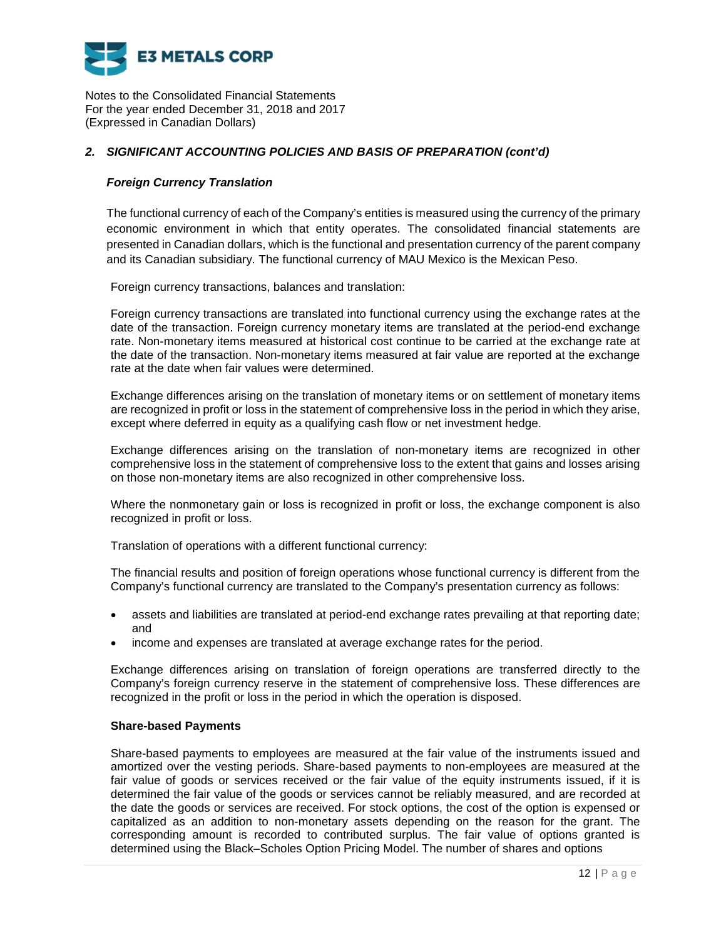

# *2. SIGNIFICANT ACCOUNTING POLICIES AND BASIS OF PREPARATION (cont'd)*

### *Foreign Currency Translation*

The functional currency of each of the Company's entities is measured using the currency of the primary economic environment in which that entity operates. The consolidated financial statements are presented in Canadian dollars, which is the functional and presentation currency of the parent company and its Canadian subsidiary. The functional currency of MAU Mexico is the Mexican Peso.

Foreign currency transactions, balances and translation:

Foreign currency transactions are translated into functional currency using the exchange rates at the date of the transaction. Foreign currency monetary items are translated at the period-end exchange rate. Non-monetary items measured at historical cost continue to be carried at the exchange rate at the date of the transaction. Non-monetary items measured at fair value are reported at the exchange rate at the date when fair values were determined.

Exchange differences arising on the translation of monetary items or on settlement of monetary items are recognized in profit or loss in the statement of comprehensive loss in the period in which they arise, except where deferred in equity as a qualifying cash flow or net investment hedge.

Exchange differences arising on the translation of non-monetary items are recognized in other comprehensive loss in the statement of comprehensive loss to the extent that gains and losses arising on those non-monetary items are also recognized in other comprehensive loss.

Where the nonmonetary gain or loss is recognized in profit or loss, the exchange component is also recognized in profit or loss.

Translation of operations with a different functional currency:

The financial results and position of foreign operations whose functional currency is different from the Company's functional currency are translated to the Company's presentation currency as follows:

- assets and liabilities are translated at period-end exchange rates prevailing at that reporting date; and
- income and expenses are translated at average exchange rates for the period.

Exchange differences arising on translation of foreign operations are transferred directly to the Company's foreign currency reserve in the statement of comprehensive loss. These differences are recognized in the profit or loss in the period in which the operation is disposed.

### **Share-based Payments**

Share-based payments to employees are measured at the fair value of the instruments issued and amortized over the vesting periods. Share-based payments to non-employees are measured at the fair value of goods or services received or the fair value of the equity instruments issued, if it is determined the fair value of the goods or services cannot be reliably measured, and are recorded at the date the goods or services are received. For stock options, the cost of the option is expensed or capitalized as an addition to non-monetary assets depending on the reason for the grant. The corresponding amount is recorded to contributed surplus. The fair value of options granted is determined using the Black–Scholes Option Pricing Model. The number of shares and options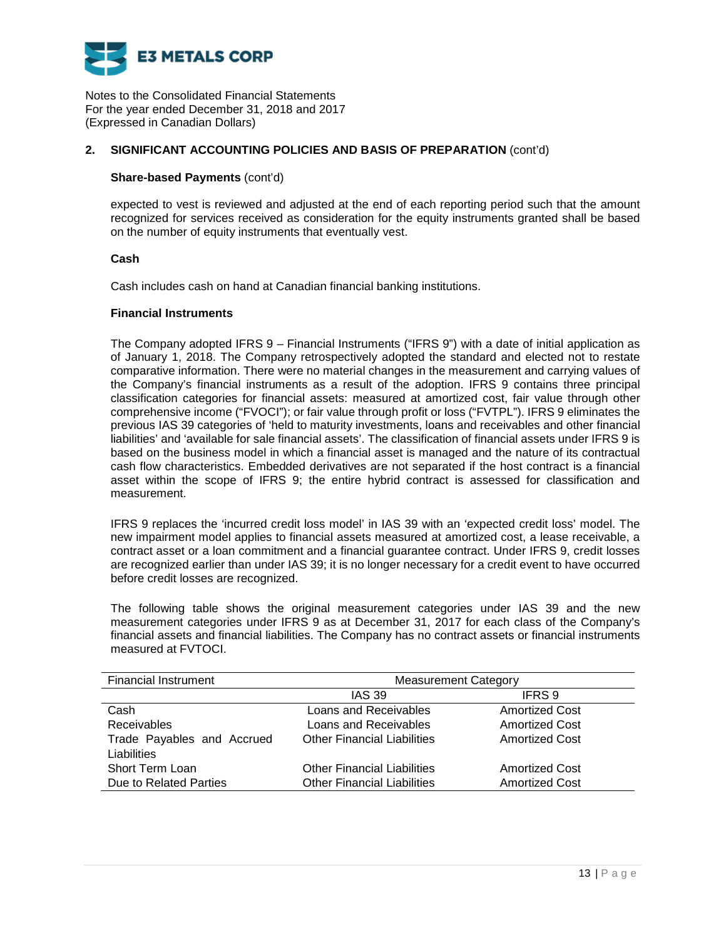

## **2. SIGNIFICANT ACCOUNTING POLICIES AND BASIS OF PREPARATION** (cont'd)

### **Share-based Payments** (cont'd)

expected to vest is reviewed and adjusted at the end of each reporting period such that the amount recognized for services received as consideration for the equity instruments granted shall be based on the number of equity instruments that eventually vest.

### **Cash**

Cash includes cash on hand at Canadian financial banking institutions.

### **Financial Instruments**

The Company adopted IFRS 9 – Financial Instruments ("IFRS 9") with a date of initial application as of January 1, 2018. The Company retrospectively adopted the standard and elected not to restate comparative information. There were no material changes in the measurement and carrying values of the Company's financial instruments as a result of the adoption. IFRS 9 contains three principal classification categories for financial assets: measured at amortized cost, fair value through other comprehensive income ("FVOCI"); or fair value through profit or loss ("FVTPL"). IFRS 9 eliminates the previous IAS 39 categories of 'held to maturity investments, loans and receivables and other financial liabilities' and 'available for sale financial assets'. The classification of financial assets under IFRS 9 is based on the business model in which a financial asset is managed and the nature of its contractual cash flow characteristics. Embedded derivatives are not separated if the host contract is a financial asset within the scope of IFRS 9; the entire hybrid contract is assessed for classification and measurement.

IFRS 9 replaces the 'incurred credit loss model' in IAS 39 with an 'expected credit loss' model. The new impairment model applies to financial assets measured at amortized cost, a lease receivable, a contract asset or a loan commitment and a financial guarantee contract. Under IFRS 9, credit losses are recognized earlier than under IAS 39; it is no longer necessary for a credit event to have occurred before credit losses are recognized.

The following table shows the original measurement categories under IAS 39 and the new measurement categories under IFRS 9 as at December 31, 2017 for each class of the Company's financial assets and financial liabilities. The Company has no contract assets or financial instruments measured at FVTOCI.

| <b>Financial Instrument</b> | <b>Measurement Category</b>        |                       |  |  |
|-----------------------------|------------------------------------|-----------------------|--|--|
|                             | <b>IAS 39</b>                      | IFRS 9                |  |  |
| Cash                        | Loans and Receivables              | <b>Amortized Cost</b> |  |  |
| Receivables                 | Loans and Receivables              | <b>Amortized Cost</b> |  |  |
| Trade Payables and Accrued  | <b>Other Financial Liabilities</b> | <b>Amortized Cost</b> |  |  |
| Liabilities                 |                                    |                       |  |  |
| Short Term Loan             | <b>Other Financial Liabilities</b> | <b>Amortized Cost</b> |  |  |
| Due to Related Parties      | <b>Other Financial Liabilities</b> | <b>Amortized Cost</b> |  |  |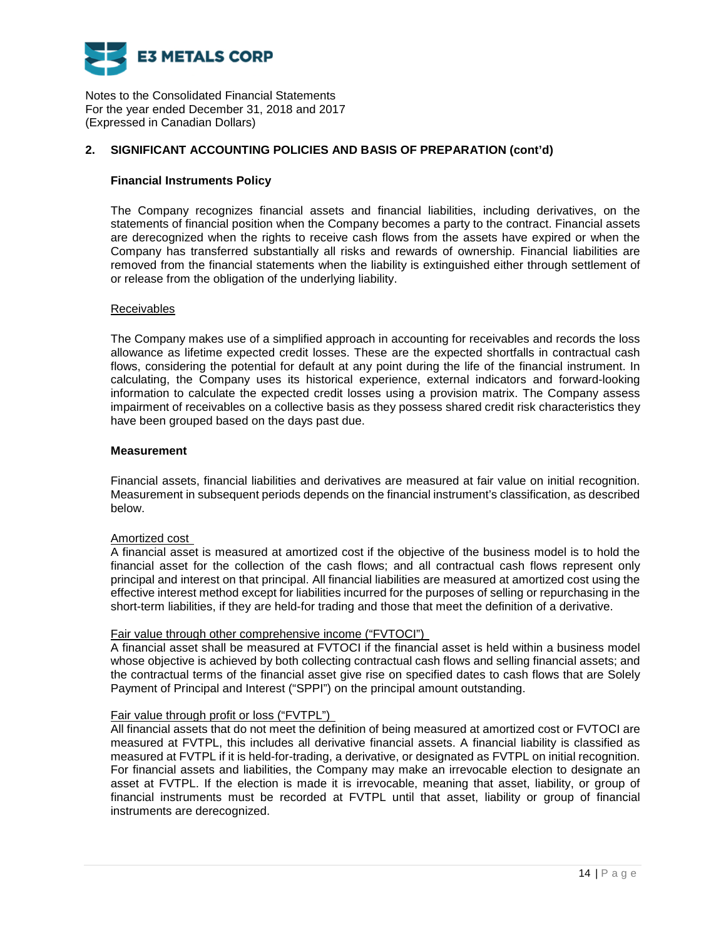

## **2. SIGNIFICANT ACCOUNTING POLICIES AND BASIS OF PREPARATION (cont'd)**

### **Financial Instruments Policy**

The Company recognizes financial assets and financial liabilities, including derivatives, on the statements of financial position when the Company becomes a party to the contract. Financial assets are derecognized when the rights to receive cash flows from the assets have expired or when the Company has transferred substantially all risks and rewards of ownership. Financial liabilities are removed from the financial statements when the liability is extinguished either through settlement of or release from the obligation of the underlying liability.

### Receivables

The Company makes use of a simplified approach in accounting for receivables and records the loss allowance as lifetime expected credit losses. These are the expected shortfalls in contractual cash flows, considering the potential for default at any point during the life of the financial instrument. In calculating, the Company uses its historical experience, external indicators and forward-looking information to calculate the expected credit losses using a provision matrix. The Company assess impairment of receivables on a collective basis as they possess shared credit risk characteristics they have been grouped based on the days past due.

### **Measurement**

Financial assets, financial liabilities and derivatives are measured at fair value on initial recognition. Measurement in subsequent periods depends on the financial instrument's classification, as described below.

### Amortized cost

A financial asset is measured at amortized cost if the objective of the business model is to hold the financial asset for the collection of the cash flows; and all contractual cash flows represent only principal and interest on that principal. All financial liabilities are measured at amortized cost using the effective interest method except for liabilities incurred for the purposes of selling or repurchasing in the short-term liabilities, if they are held-for trading and those that meet the definition of a derivative.

### Fair value through other comprehensive income ("FVTOCI")

A financial asset shall be measured at FVTOCI if the financial asset is held within a business model whose objective is achieved by both collecting contractual cash flows and selling financial assets; and the contractual terms of the financial asset give rise on specified dates to cash flows that are Solely Payment of Principal and Interest ("SPPI") on the principal amount outstanding.

### Fair value through profit or loss ("FVTPL")

All financial assets that do not meet the definition of being measured at amortized cost or FVTOCI are measured at FVTPL, this includes all derivative financial assets. A financial liability is classified as measured at FVTPL if it is held-for-trading, a derivative, or designated as FVTPL on initial recognition. For financial assets and liabilities, the Company may make an irrevocable election to designate an asset at FVTPL. If the election is made it is irrevocable, meaning that asset, liability, or group of financial instruments must be recorded at FVTPL until that asset, liability or group of financial instruments are derecognized.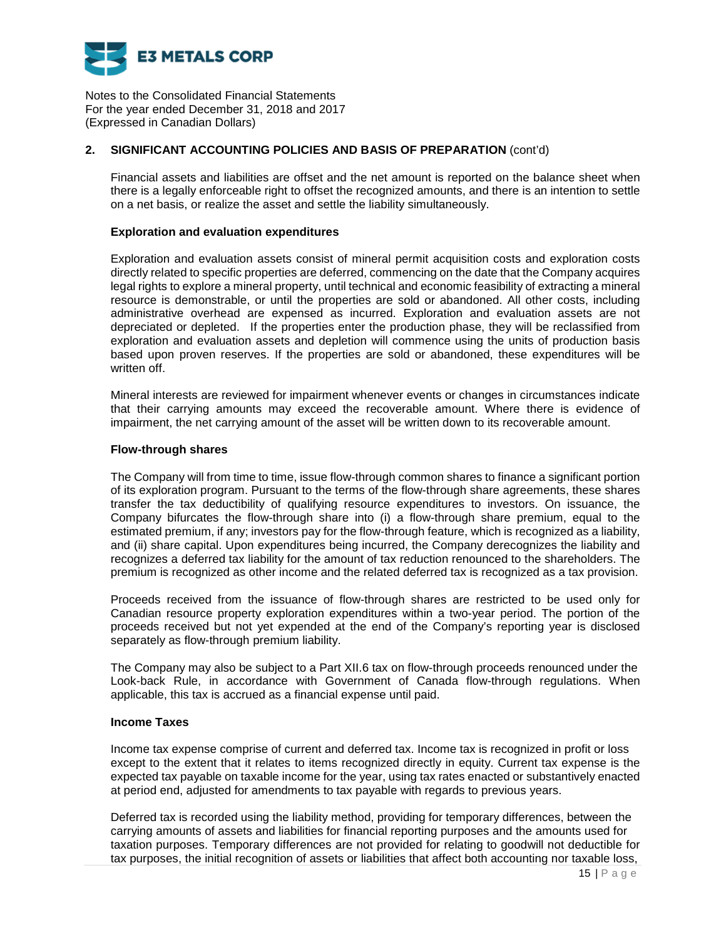

# **2. SIGNIFICANT ACCOUNTING POLICIES AND BASIS OF PREPARATION** (cont'd)

Financial assets and liabilities are offset and the net amount is reported on the balance sheet when there is a legally enforceable right to offset the recognized amounts, and there is an intention to settle on a net basis, or realize the asset and settle the liability simultaneously.

### **Exploration and evaluation expenditures**

Exploration and evaluation assets consist of mineral permit acquisition costs and exploration costs directly related to specific properties are deferred, commencing on the date that the Company acquires legal rights to explore a mineral property, until technical and economic feasibility of extracting a mineral resource is demonstrable, or until the properties are sold or abandoned. All other costs, including administrative overhead are expensed as incurred. Exploration and evaluation assets are not depreciated or depleted. If the properties enter the production phase, they will be reclassified from exploration and evaluation assets and depletion will commence using the units of production basis based upon proven reserves. If the properties are sold or abandoned, these expenditures will be written off.

Mineral interests are reviewed for impairment whenever events or changes in circumstances indicate that their carrying amounts may exceed the recoverable amount. Where there is evidence of impairment, the net carrying amount of the asset will be written down to its recoverable amount.

### **Flow-through shares**

The Company will from time to time, issue flow-through common shares to finance a significant portion of its exploration program. Pursuant to the terms of the flow-through share agreements, these shares transfer the tax deductibility of qualifying resource expenditures to investors. On issuance, the Company bifurcates the flow-through share into (i) a flow-through share premium, equal to the estimated premium, if any; investors pay for the flow-through feature, which is recognized as a liability, and (ii) share capital. Upon expenditures being incurred, the Company derecognizes the liability and recognizes a deferred tax liability for the amount of tax reduction renounced to the shareholders. The premium is recognized as other income and the related deferred tax is recognized as a tax provision.

Proceeds received from the issuance of flow-through shares are restricted to be used only for Canadian resource property exploration expenditures within a two-year period. The portion of the proceeds received but not yet expended at the end of the Company's reporting year is disclosed separately as flow-through premium liability.

The Company may also be subject to a Part XII.6 tax on flow-through proceeds renounced under the Look-back Rule, in accordance with Government of Canada flow-through regulations. When applicable, this tax is accrued as a financial expense until paid.

### **Income Taxes**

Income tax expense comprise of current and deferred tax. Income tax is recognized in profit or loss except to the extent that it relates to items recognized directly in equity. Current tax expense is the expected tax payable on taxable income for the year, using tax rates enacted or substantively enacted at period end, adjusted for amendments to tax payable with regards to previous years.

Deferred tax is recorded using the liability method, providing for temporary differences, between the carrying amounts of assets and liabilities for financial reporting purposes and the amounts used for taxation purposes. Temporary differences are not provided for relating to goodwill not deductible for tax purposes, the initial recognition of assets or liabilities that affect both accounting nor taxable loss,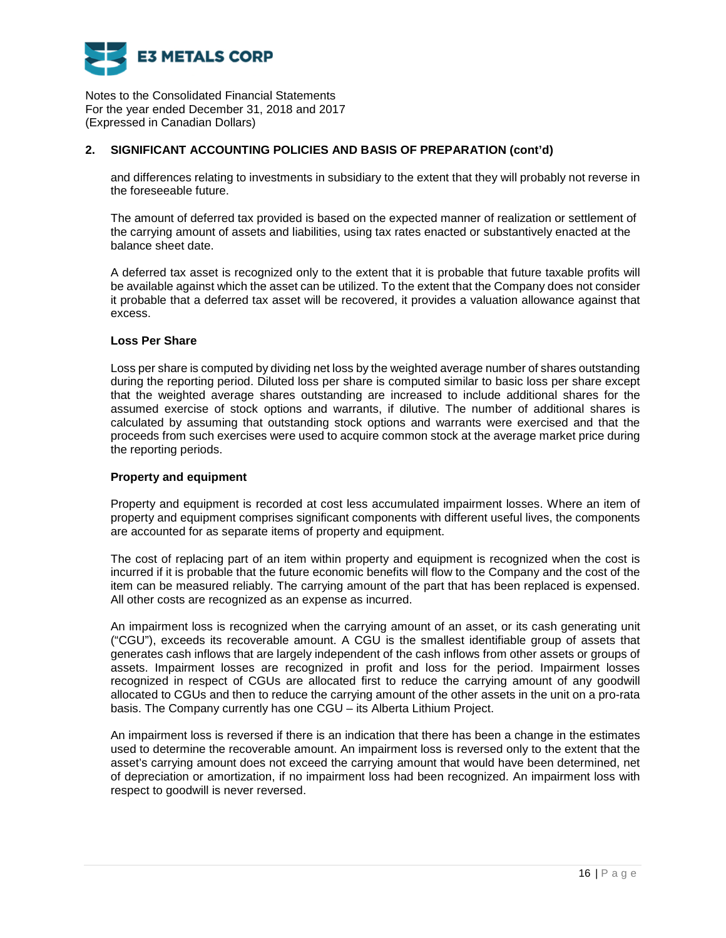

## **2. SIGNIFICANT ACCOUNTING POLICIES AND BASIS OF PREPARATION (cont'd)**

and differences relating to investments in subsidiary to the extent that they will probably not reverse in the foreseeable future.

The amount of deferred tax provided is based on the expected manner of realization or settlement of the carrying amount of assets and liabilities, using tax rates enacted or substantively enacted at the balance sheet date.

A deferred tax asset is recognized only to the extent that it is probable that future taxable profits will be available against which the asset can be utilized. To the extent that the Company does not consider it probable that a deferred tax asset will be recovered, it provides a valuation allowance against that excess.

### **Loss Per Share**

Loss per share is computed by dividing net loss by the weighted average number of shares outstanding during the reporting period. Diluted loss per share is computed similar to basic loss per share except that the weighted average shares outstanding are increased to include additional shares for the assumed exercise of stock options and warrants, if dilutive. The number of additional shares is calculated by assuming that outstanding stock options and warrants were exercised and that the proceeds from such exercises were used to acquire common stock at the average market price during the reporting periods.

### **Property and equipment**

Property and equipment is recorded at cost less accumulated impairment losses. Where an item of property and equipment comprises significant components with different useful lives, the components are accounted for as separate items of property and equipment.

The cost of replacing part of an item within property and equipment is recognized when the cost is incurred if it is probable that the future economic benefits will flow to the Company and the cost of the item can be measured reliably. The carrying amount of the part that has been replaced is expensed. All other costs are recognized as an expense as incurred.

An impairment loss is recognized when the carrying amount of an asset, or its cash generating unit ("CGU"), exceeds its recoverable amount. A CGU is the smallest identifiable group of assets that generates cash inflows that are largely independent of the cash inflows from other assets or groups of assets. Impairment losses are recognized in profit and loss for the period. Impairment losses recognized in respect of CGUs are allocated first to reduce the carrying amount of any goodwill allocated to CGUs and then to reduce the carrying amount of the other assets in the unit on a pro-rata basis. The Company currently has one CGU – its Alberta Lithium Project.

An impairment loss is reversed if there is an indication that there has been a change in the estimates used to determine the recoverable amount. An impairment loss is reversed only to the extent that the asset's carrying amount does not exceed the carrying amount that would have been determined, net of depreciation or amortization, if no impairment loss had been recognized. An impairment loss with respect to goodwill is never reversed.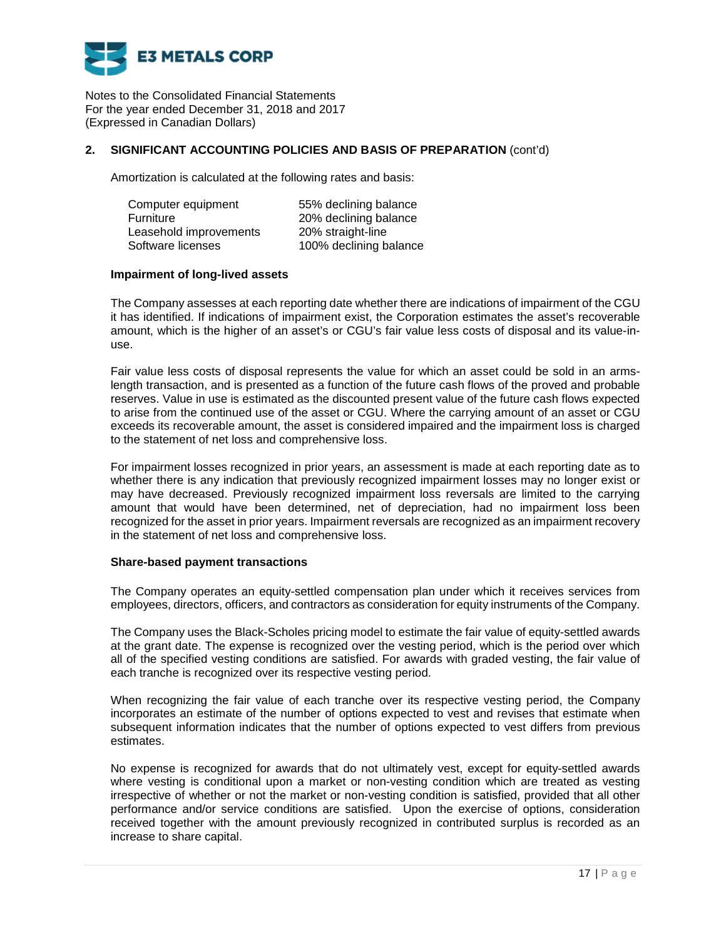

### **2. SIGNIFICANT ACCOUNTING POLICIES AND BASIS OF PREPARATION** (cont'd)

Amortization is calculated at the following rates and basis:

| Computer equipment     | 55% declining balance  |
|------------------------|------------------------|
| <b>Furniture</b>       | 20% declining balance  |
| Leasehold improvements | 20% straight-line      |
| Software licenses      | 100% declining balance |

### **Impairment of long-lived assets**

The Company assesses at each reporting date whether there are indications of impairment of the CGU it has identified. If indications of impairment exist, the Corporation estimates the asset's recoverable amount, which is the higher of an asset's or CGU's fair value less costs of disposal and its value-inuse.

Fair value less costs of disposal represents the value for which an asset could be sold in an armslength transaction, and is presented as a function of the future cash flows of the proved and probable reserves. Value in use is estimated as the discounted present value of the future cash flows expected to arise from the continued use of the asset or CGU. Where the carrying amount of an asset or CGU exceeds its recoverable amount, the asset is considered impaired and the impairment loss is charged to the statement of net loss and comprehensive loss.

For impairment losses recognized in prior years, an assessment is made at each reporting date as to whether there is any indication that previously recognized impairment losses may no longer exist or may have decreased. Previously recognized impairment loss reversals are limited to the carrying amount that would have been determined, net of depreciation, had no impairment loss been recognized for the asset in prior years. Impairment reversals are recognized as an impairment recovery in the statement of net loss and comprehensive loss.

### **Share-based payment transactions**

The Company operates an equity-settled compensation plan under which it receives services from employees, directors, officers, and contractors as consideration for equity instruments of the Company.

The Company uses the Black-Scholes pricing model to estimate the fair value of equity-settled awards at the grant date. The expense is recognized over the vesting period, which is the period over which all of the specified vesting conditions are satisfied. For awards with graded vesting, the fair value of each tranche is recognized over its respective vesting period.

When recognizing the fair value of each tranche over its respective vesting period, the Company incorporates an estimate of the number of options expected to vest and revises that estimate when subsequent information indicates that the number of options expected to vest differs from previous estimates.

No expense is recognized for awards that do not ultimately vest, except for equity-settled awards where vesting is conditional upon a market or non-vesting condition which are treated as vesting irrespective of whether or not the market or non-vesting condition is satisfied, provided that all other performance and/or service conditions are satisfied. Upon the exercise of options, consideration received together with the amount previously recognized in contributed surplus is recorded as an increase to share capital.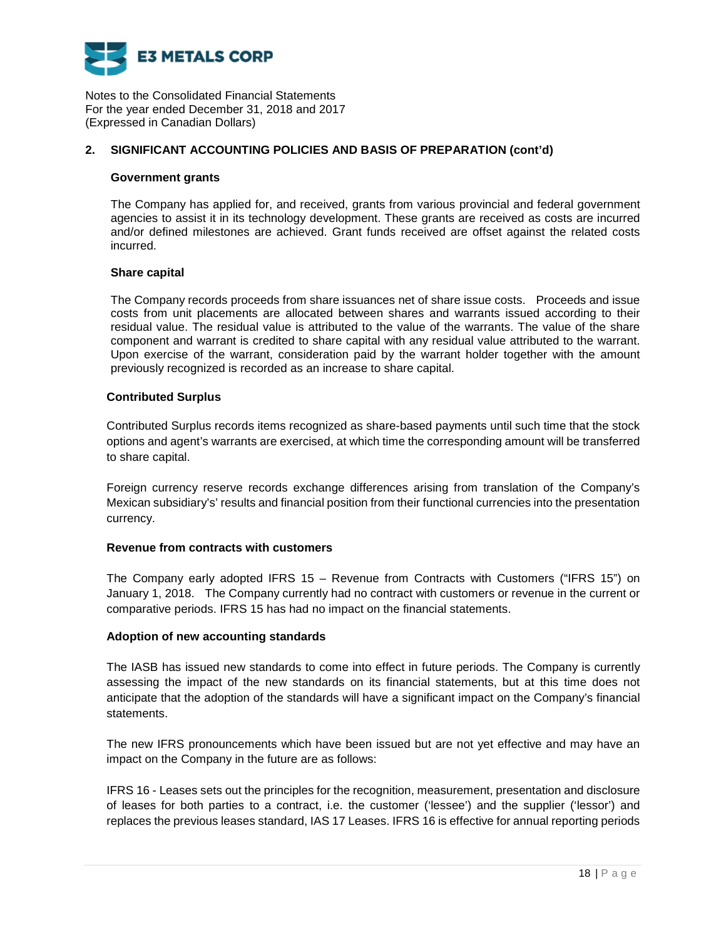

## **2. SIGNIFICANT ACCOUNTING POLICIES AND BASIS OF PREPARATION (cont'd)**

### **Government grants**

The Company has applied for, and received, grants from various provincial and federal government agencies to assist it in its technology development. These grants are received as costs are incurred and/or defined milestones are achieved. Grant funds received are offset against the related costs incurred.

### **Share capital**

The Company records proceeds from share issuances net of share issue costs. Proceeds and issue costs from unit placements are allocated between shares and warrants issued according to their residual value. The residual value is attributed to the value of the warrants. The value of the share component and warrant is credited to share capital with any residual value attributed to the warrant. Upon exercise of the warrant, consideration paid by the warrant holder together with the amount previously recognized is recorded as an increase to share capital.

### **Contributed Surplus**

Contributed Surplus records items recognized as share-based payments until such time that the stock options and agent's warrants are exercised, at which time the corresponding amount will be transferred to share capital.

Foreign currency reserve records exchange differences arising from translation of the Company's Mexican subsidiary's' results and financial position from their functional currencies into the presentation currency.

### **Revenue from contracts with customers**

The Company early adopted IFRS 15 – Revenue from Contracts with Customers ("IFRS 15") on January 1, 2018. The Company currently had no contract with customers or revenue in the current or comparative periods. IFRS 15 has had no impact on the financial statements.

### **Adoption of new accounting standards**

The IASB has issued new standards to come into effect in future periods. The Company is currently assessing the impact of the new standards on its financial statements, but at this time does not anticipate that the adoption of the standards will have a significant impact on the Company's financial statements.

The new IFRS pronouncements which have been issued but are not yet effective and may have an impact on the Company in the future are as follows:

IFRS 16 - Leases sets out the principles for the recognition, measurement, presentation and disclosure of leases for both parties to a contract, i.e. the customer ('lessee') and the supplier ('lessor') and replaces the previous leases standard, IAS 17 Leases. IFRS 16 is effective for annual reporting periods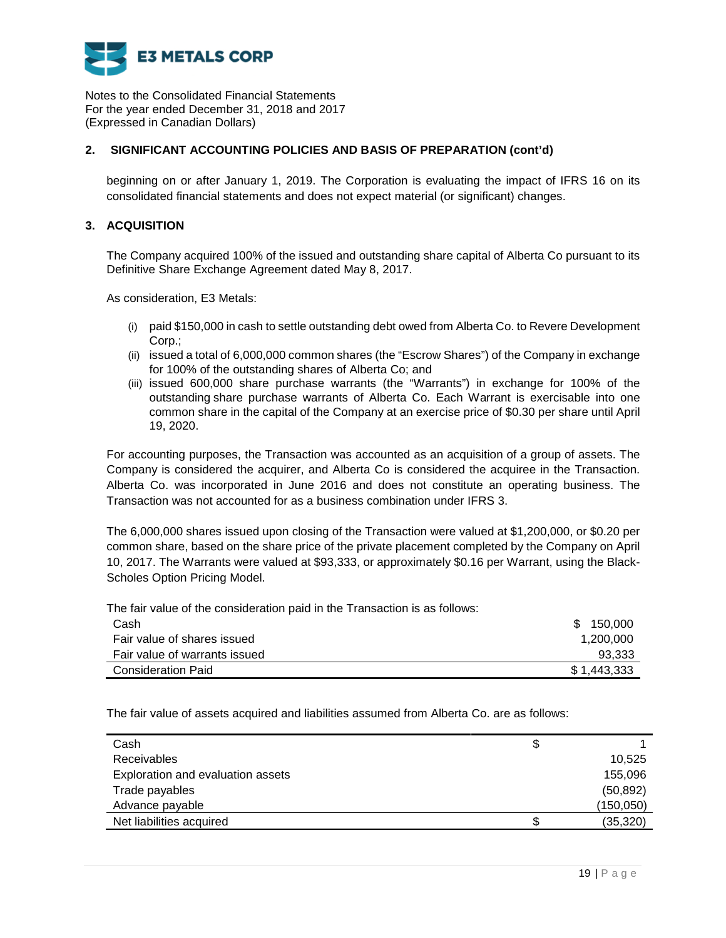

## **2. SIGNIFICANT ACCOUNTING POLICIES AND BASIS OF PREPARATION (cont'd)**

beginning on or after January 1, 2019. The Corporation is evaluating the impact of IFRS 16 on its consolidated financial statements and does not expect material (or significant) changes.

## **3. ACQUISITION**

The Company acquired 100% of the issued and outstanding share capital of Alberta Co pursuant to its Definitive Share Exchange Agreement dated May 8, 2017.

As consideration, E3 Metals:

- (i) paid \$150,000 in cash to settle outstanding debt owed from Alberta Co. to Revere Development Corp.;
- (ii) issued a total of 6,000,000 common shares (the "Escrow Shares") of the Company in exchange for 100% of the outstanding shares of Alberta Co; and
- (iii) issued 600,000 share purchase warrants (the "Warrants") in exchange for 100% of the outstanding share purchase warrants of Alberta Co. Each Warrant is exercisable into one common share in the capital of the Company at an exercise price of \$0.30 per share until April 19, 2020.

For accounting purposes, the Transaction was accounted as an acquisition of a group of assets. The Company is considered the acquirer, and Alberta Co is considered the acquiree in the Transaction. Alberta Co. was incorporated in June 2016 and does not constitute an operating business. The Transaction was not accounted for as a business combination under IFRS 3.

The 6,000,000 shares issued upon closing of the Transaction were valued at \$1,200,000, or \$0.20 per common share, based on the share price of the private placement completed by the Company on April 10, 2017. The Warrants were valued at \$93,333, or approximately \$0.16 per Warrant, using the Black-Scholes Option Pricing Model.

The fair value of the consideration paid in the Transaction is as follows:

| Cash                          | 150.000<br>\$ |
|-------------------------------|---------------|
| Fair value of shares issued   | 1,200,000     |
| Fair value of warrants issued | 93,333        |
| <b>Consideration Paid</b>     | \$1,443,333   |

The fair value of assets acquired and liabilities assumed from Alberta Co. are as follows:

| Cash                              | S |            |
|-----------------------------------|---|------------|
| <b>Receivables</b>                |   | 10,525     |
| Exploration and evaluation assets |   | 155,096    |
| Trade payables                    |   | (50, 892)  |
| Advance payable                   |   | (150, 050) |
| Net liabilities acquired          |   | (35, 320)  |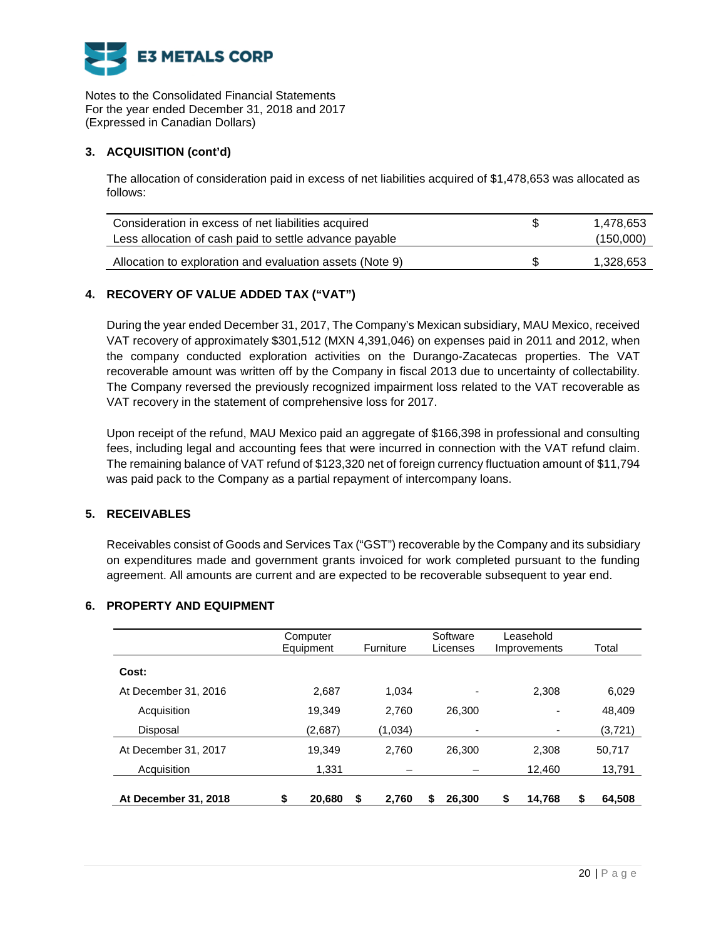

# **3. ACQUISITION (cont'd)**

The allocation of consideration paid in excess of net liabilities acquired of \$1,478,653 was allocated as follows:

| Consideration in excess of net liabilities acquired      | 1.478.653 |
|----------------------------------------------------------|-----------|
| Less allocation of cash paid to settle advance payable   | (150,000) |
| Allocation to exploration and evaluation assets (Note 9) | 1.328.653 |

# **4. RECOVERY OF VALUE ADDED TAX ("VAT")**

During the year ended December 31, 2017, The Company's Mexican subsidiary, MAU Mexico, received VAT recovery of approximately \$301,512 (MXN 4,391,046) on expenses paid in 2011 and 2012, when the company conducted exploration activities on the Durango-Zacatecas properties. The VAT recoverable amount was written off by the Company in fiscal 2013 due to uncertainty of collectability. The Company reversed the previously recognized impairment loss related to the VAT recoverable as VAT recovery in the statement of comprehensive loss for 2017.

Upon receipt of the refund, MAU Mexico paid an aggregate of \$166,398 in professional and consulting fees, including legal and accounting fees that were incurred in connection with the VAT refund claim. The remaining balance of VAT refund of \$123,320 net of foreign currency fluctuation amount of \$11,794 was paid pack to the Company as a partial repayment of intercompany loans.

### **5. RECEIVABLES**

Receivables consist of Goods and Services Tax ("GST") recoverable by the Company and its subsidiary on expenditures made and government grants invoiced for work completed pursuant to the funding agreement. All amounts are current and are expected to be recoverable subsequent to year end.

# **6. PROPERTY AND EQUIPMENT**

|                             | Computer<br>Equipment |       | Furniture | Software<br>Licenses | Leasehold<br>Improvements |        | Total        |
|-----------------------------|-----------------------|-------|-----------|----------------------|---------------------------|--------|--------------|
| Cost:                       |                       |       |           |                      |                           |        |              |
| At December 31, 2016        | 2,687                 |       | 1,034     | ٠                    |                           | 2,308  | 6,029        |
| Acquisition                 | 19,349                |       | 2,760     | 26.300               |                           |        | 48,409       |
| Disposal                    | (2,687)               |       | (1,034)   | -                    |                           |        | (3, 721)     |
| At December 31, 2017        | 19,349                |       | 2,760     | 26,300               |                           | 2,308  | 50,717       |
| Acquisition                 |                       | 1.331 |           |                      |                           | 12.460 | 13,791       |
| <b>At December 31, 2018</b> | \$<br>20,680          | \$    | 2.760     | 26,300<br>S          | \$                        | 14.768 | \$<br>64.508 |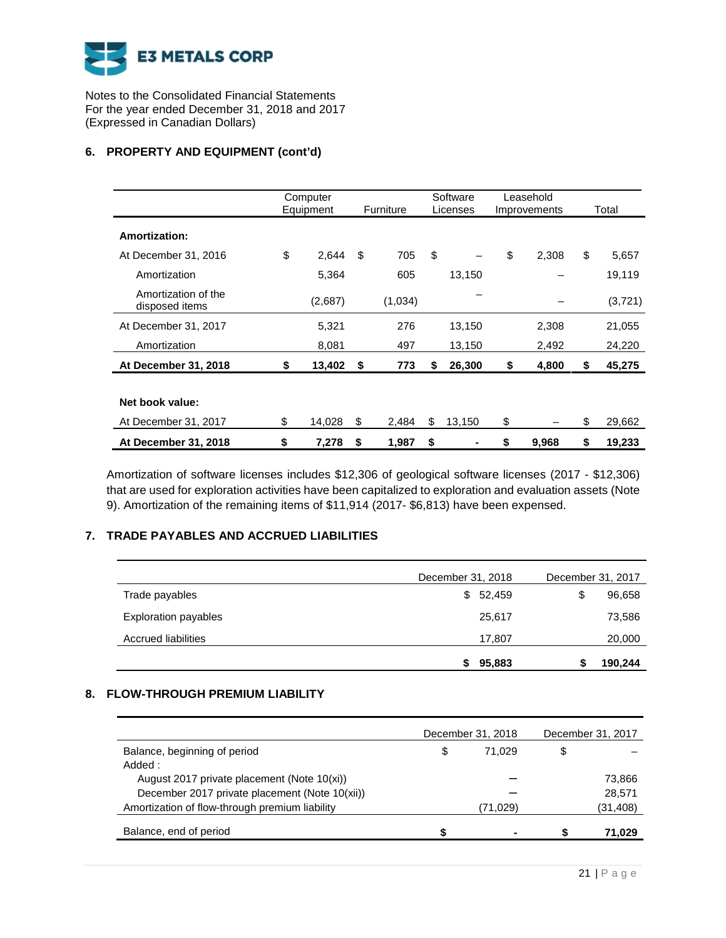

# **6. PROPERTY AND EQUIPMENT (cont'd)**

|                                       | Computer<br>Equipment |    | Furniture |    | Software<br>Licenses | Leasehold<br>Improvements | Total        |
|---------------------------------------|-----------------------|----|-----------|----|----------------------|---------------------------|--------------|
| Amortization:                         |                       |    |           |    |                      |                           |              |
| At December 31, 2016                  | \$<br>2,644           | \$ | 705       | \$ |                      | \$<br>2,308               | \$<br>5,657  |
| Amortization                          | 5,364                 |    | 605       |    | 13,150               |                           | 19,119       |
| Amortization of the<br>disposed items | (2,687)               |    | (1,034)   |    |                      |                           | (3,721)      |
| At December 31, 2017                  | 5,321                 |    | 276       |    | 13,150               | 2,308                     | 21,055       |
| Amortization                          | 8,081                 |    | 497       |    | 13,150               | 2,492                     | 24,220       |
| At December 31, 2018                  | \$<br>13,402          | S. | 773       | S  | 26,300               | \$<br>4,800               | \$<br>45,275 |
|                                       |                       |    |           |    |                      |                           |              |
| Net book value:                       |                       |    |           |    |                      |                           |              |
| At December 31, 2017                  | \$<br>14,028          | \$ | 2,484     | \$ | 13,150               | \$                        | \$<br>29,662 |
| At December 31, 2018                  | \$<br>7,278           | \$ | 1,987     | \$ |                      | \$<br>9,968               | \$<br>19,233 |

Amortization of software licenses includes \$12,306 of geological software licenses (2017 - \$12,306) that are used for exploration activities have been capitalized to exploration and evaluation assets (Note 9). Amortization of the remaining items of \$11,914 (2017- \$6,813) have been expensed.

# **7. TRADE PAYABLES AND ACCRUED LIABILITIES**

|                            | December 31, 2018 | December 31, 2017 |         |
|----------------------------|-------------------|-------------------|---------|
| Trade payables             | \$52,459          | S                 | 96,658  |
| Exploration payables       | 25,617            |                   | 73,586  |
| <b>Accrued liabilities</b> | 17,807            |                   | 20,000  |
|                            | 95,883<br>S       |                   | 190,244 |

# **8. FLOW-THROUGH PREMIUM LIABILITY**

|                                                | December 31, 2018 | December 31, 2017 |
|------------------------------------------------|-------------------|-------------------|
| Balance, beginning of period                   | \$<br>71.029      | \$                |
| Added:                                         |                   |                   |
| August 2017 private placement (Note 10(xi))    |                   | 73,866            |
| December 2017 private placement (Note 10(xii)) |                   | 28,571            |
| Amortization of flow-through premium liability | (71,029)          | (31,408)          |
| Balance, end of period                         | $\blacksquare$    | 71,029            |
|                                                |                   |                   |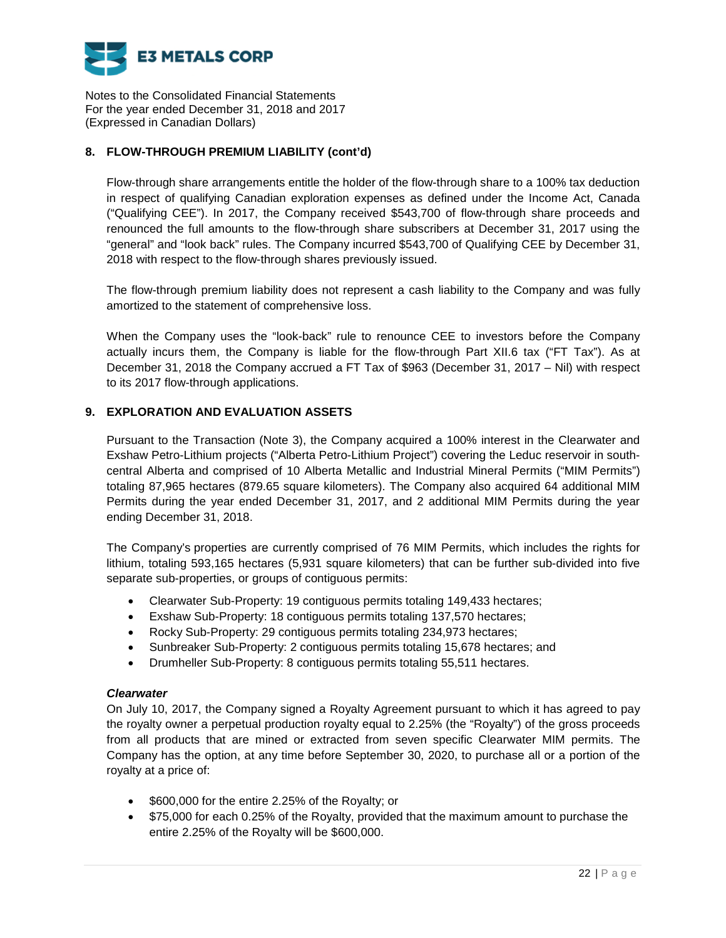

# **8. FLOW-THROUGH PREMIUM LIABILITY (cont'd)**

Flow-through share arrangements entitle the holder of the flow-through share to a 100% tax deduction in respect of qualifying Canadian exploration expenses as defined under the Income Act, Canada ("Qualifying CEE"). In 2017, the Company received \$543,700 of flow-through share proceeds and renounced the full amounts to the flow-through share subscribers at December 31, 2017 using the "general" and "look back" rules. The Company incurred \$543,700 of Qualifying CEE by December 31, 2018 with respect to the flow-through shares previously issued.

The flow-through premium liability does not represent a cash liability to the Company and was fully amortized to the statement of comprehensive loss.

When the Company uses the "look-back" rule to renounce CEE to investors before the Company actually incurs them, the Company is liable for the flow-through Part XII.6 tax ("FT Tax"). As at December 31, 2018 the Company accrued a FT Tax of \$963 (December 31, 2017 – Nil) with respect to its 2017 flow-through applications.

# **9. EXPLORATION AND EVALUATION ASSETS**

Pursuant to the Transaction (Note 3), the Company acquired a 100% interest in the Clearwater and Exshaw Petro-Lithium projects ("Alberta Petro-Lithium Project") covering the Leduc reservoir in southcentral Alberta and comprised of 10 Alberta Metallic and Industrial Mineral Permits ("MIM Permits") totaling 87,965 hectares (879.65 square kilometers). The Company also acquired 64 additional MIM Permits during the year ended December 31, 2017, and 2 additional MIM Permits during the year ending December 31, 2018.

The Company's properties are currently comprised of 76 MIM Permits, which includes the rights for lithium, totaling 593,165 hectares (5,931 square kilometers) that can be further sub-divided into five separate sub-properties, or groups of contiguous permits:

- Clearwater Sub-Property: 19 contiguous permits totaling 149,433 hectares;
- Exshaw Sub-Property: 18 contiguous permits totaling 137,570 hectares;
- Rocky Sub-Property: 29 contiguous permits totaling 234,973 hectares;
- Sunbreaker Sub-Property: 2 contiguous permits totaling 15,678 hectares; and
- Drumheller Sub-Property: 8 contiguous permits totaling 55,511 hectares.

### *Clearwater*

On July 10, 2017, the Company signed a Royalty Agreement pursuant to which it has agreed to pay the royalty owner a perpetual production royalty equal to 2.25% (the "Royalty") of the gross proceeds from all products that are mined or extracted from seven specific Clearwater MIM permits. The Company has the option, at any time before September 30, 2020, to purchase all or a portion of the royalty at a price of:

- **\$600,000 for the entire 2.25% of the Royalty; or**
- \$75,000 for each 0.25% of the Royalty, provided that the maximum amount to purchase the entire 2.25% of the Royalty will be \$600,000.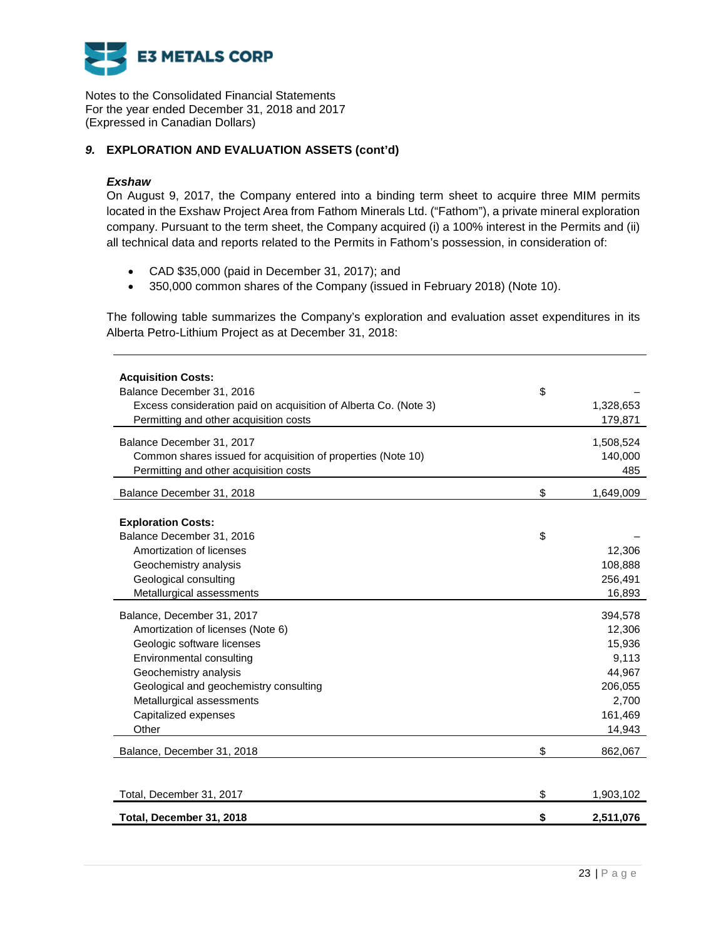

# *9.* **EXPLORATION AND EVALUATION ASSETS (cont'd)**

### *Exshaw*

On August 9, 2017, the Company entered into a binding term sheet to acquire three MIM permits located in the Exshaw Project Area from Fathom Minerals Ltd. ("Fathom"), a private mineral exploration company. Pursuant to the term sheet, the Company acquired (i) a 100% interest in the Permits and (ii) all technical data and reports related to the Permits in Fathom's possession, in consideration of:

- CAD \$35,000 (paid in December 31, 2017); and
- 350,000 common shares of the Company (issued in February 2018) (Note 10).

The following table summarizes the Company's exploration and evaluation asset expenditures in its Alberta Petro-Lithium Project as at December 31, 2018:

| <b>Acquisition Costs:</b><br>Balance December 31, 2016<br>Excess consideration paid on acquisition of Alberta Co. (Note 3)<br>Permitting and other acquisition costs                                                                                       | \$       | 1,328,653<br>179,871                                                                    |
|------------------------------------------------------------------------------------------------------------------------------------------------------------------------------------------------------------------------------------------------------------|----------|-----------------------------------------------------------------------------------------|
| Balance December 31, 2017<br>Common shares issued for acquisition of properties (Note 10)<br>Permitting and other acquisition costs                                                                                                                        |          | 1,508,524<br>140,000<br>485                                                             |
| Balance December 31, 2018                                                                                                                                                                                                                                  | \$       | 1,649,009                                                                               |
| <b>Exploration Costs:</b><br>Balance December 31, 2016<br>Amortization of licenses<br>Geochemistry analysis<br>Geological consulting<br>Metallurgical assessments                                                                                          | \$       | 12,306<br>108,888<br>256,491<br>16,893                                                  |
| Balance, December 31, 2017<br>Amortization of licenses (Note 6)<br>Geologic software licenses<br>Environmental consulting<br>Geochemistry analysis<br>Geological and geochemistry consulting<br>Metallurgical assessments<br>Capitalized expenses<br>Other |          | 394,578<br>12,306<br>15,936<br>9,113<br>44,967<br>206,055<br>2,700<br>161,469<br>14,943 |
| Balance, December 31, 2018                                                                                                                                                                                                                                 | \$       | 862,067                                                                                 |
| Total, December 31, 2017<br>Total, December 31, 2018                                                                                                                                                                                                       | \$<br>\$ | 1,903,102<br>2,511,076                                                                  |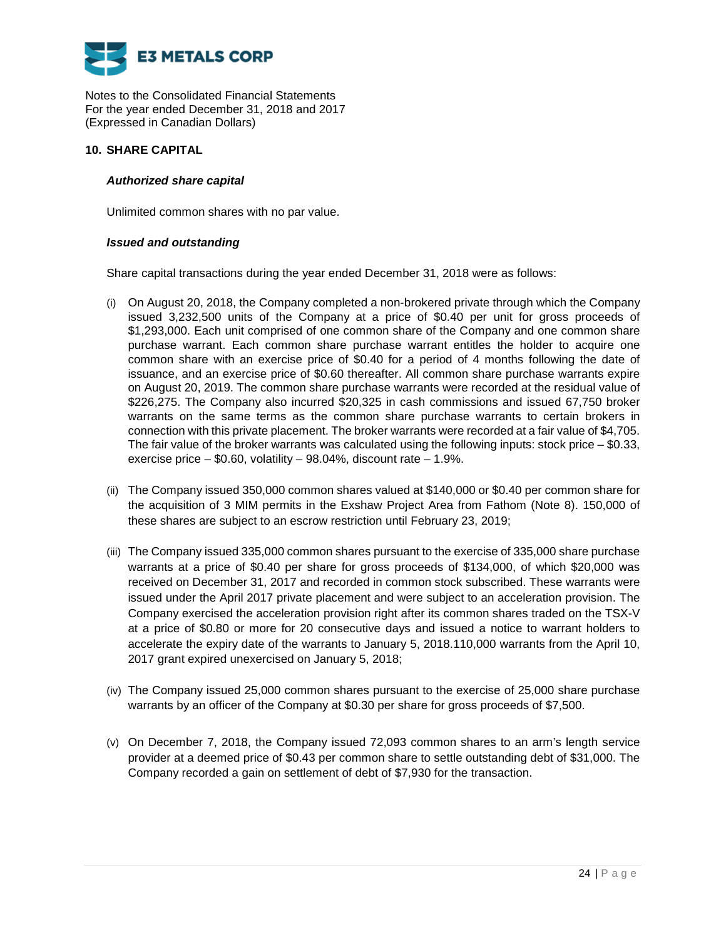

## **10. SHARE CAPITAL**

## *Authorized share capital*

Unlimited common shares with no par value.

### *Issued and outstanding*

Share capital transactions during the year ended December 31, 2018 were as follows:

- (i) On August 20, 2018, the Company completed a non-brokered private through which the Company issued 3,232,500 units of the Company at a price of \$0.40 per unit for gross proceeds of \$1,293,000. Each unit comprised of one common share of the Company and one common share purchase warrant. Each common share purchase warrant entitles the holder to acquire one common share with an exercise price of \$0.40 for a period of 4 months following the date of issuance, and an exercise price of \$0.60 thereafter. All common share purchase warrants expire on August 20, 2019. The common share purchase warrants were recorded at the residual value of \$226,275. The Company also incurred \$20,325 in cash commissions and issued 67,750 broker warrants on the same terms as the common share purchase warrants to certain brokers in connection with this private placement. The broker warrants were recorded at a fair value of \$4,705. The fair value of the broker warrants was calculated using the following inputs: stock price  $-$  \$0.33, exercise price – \$0.60, volatility – 98.04%, discount rate – 1.9%.
- (ii) The Company issued 350,000 common shares valued at \$140,000 or \$0.40 per common share for the acquisition of 3 MIM permits in the Exshaw Project Area from Fathom (Note 8). 150,000 of these shares are subject to an escrow restriction until February 23, 2019;
- (iii) The Company issued 335,000 common shares pursuant to the exercise of 335,000 share purchase warrants at a price of \$0.40 per share for gross proceeds of \$134,000, of which \$20,000 was received on December 31, 2017 and recorded in common stock subscribed. These warrants were issued under the April 2017 private placement and were subject to an acceleration provision. The Company exercised the acceleration provision right after its common shares traded on the TSX-V at a price of \$0.80 or more for 20 consecutive days and issued a notice to warrant holders to accelerate the expiry date of the warrants to January 5, 2018.110,000 warrants from the April 10, 2017 grant expired unexercised on January 5, 2018;
- (iv) The Company issued 25,000 common shares pursuant to the exercise of 25,000 share purchase warrants by an officer of the Company at \$0.30 per share for gross proceeds of \$7,500.
- (v) On December 7, 2018, the Company issued 72,093 common shares to an arm's length service provider at a deemed price of \$0.43 per common share to settle outstanding debt of \$31,000. The Company recorded a gain on settlement of debt of \$7,930 for the transaction.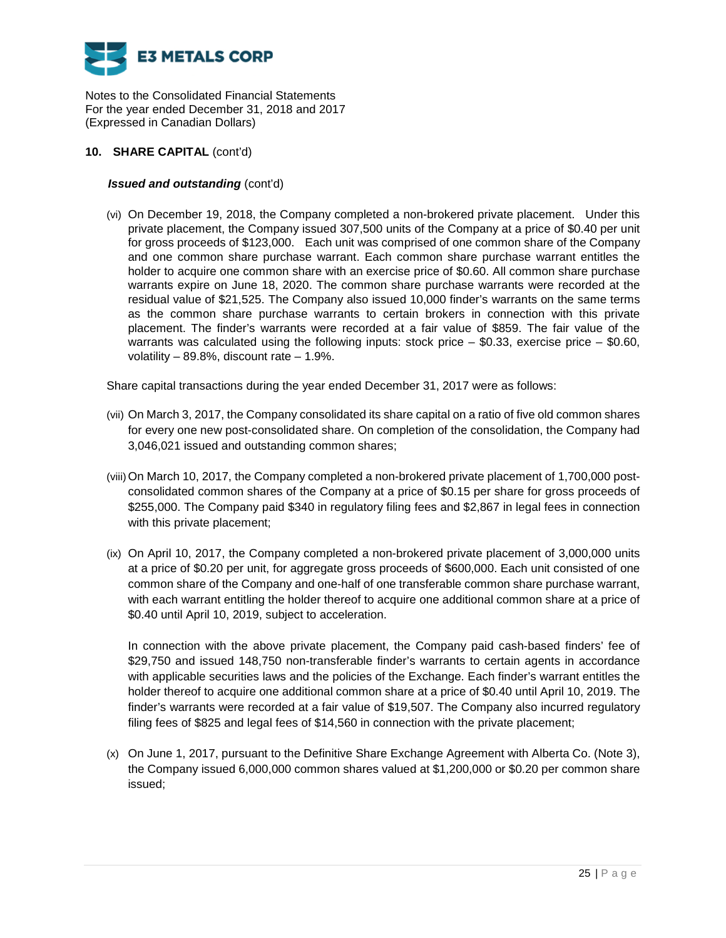

## **10. SHARE CAPITAL** (cont'd)

## *Issued and outstanding* (cont'd)

(vi) On December 19, 2018, the Company completed a non-brokered private placement. Under this private placement, the Company issued 307,500 units of the Company at a price of \$0.40 per unit for gross proceeds of \$123,000. Each unit was comprised of one common share of the Company and one common share purchase warrant. Each common share purchase warrant entitles the holder to acquire one common share with an exercise price of \$0.60. All common share purchase warrants expire on June 18, 2020. The common share purchase warrants were recorded at the residual value of \$21,525. The Company also issued 10,000 finder's warrants on the same terms as the common share purchase warrants to certain brokers in connection with this private placement. The finder's warrants were recorded at a fair value of \$859. The fair value of the warrants was calculated using the following inputs: stock price – \$0.33, exercise price – \$0.60, volatility – 89.8%, discount rate – 1.9%.

Share capital transactions during the year ended December 31, 2017 were as follows:

- (vii) On March 3, 2017, the Company consolidated its share capital on a ratio of five old common shares for every one new post-consolidated share. On completion of the consolidation, the Company had 3,046,021 issued and outstanding common shares;
- (viii) On March 10, 2017, the Company completed a non-brokered private placement of 1,700,000 postconsolidated common shares of the Company at a price of \$0.15 per share for gross proceeds of \$255,000. The Company paid \$340 in regulatory filing fees and \$2,867 in legal fees in connection with this private placement;
- (ix) On April 10, 2017, the Company completed a non-brokered private placement of 3,000,000 units at a price of \$0.20 per unit, for aggregate gross proceeds of \$600,000. Each unit consisted of one common share of the Company and one-half of one transferable common share purchase warrant, with each warrant entitling the holder thereof to acquire one additional common share at a price of \$0.40 until April 10, 2019, subject to acceleration.

In connection with the above private placement, the Company paid cash-based finders' fee of \$29,750 and issued 148,750 non-transferable finder's warrants to certain agents in accordance with applicable securities laws and the policies of the Exchange. Each finder's warrant entitles the holder thereof to acquire one additional common share at a price of \$0.40 until April 10, 2019. The finder's warrants were recorded at a fair value of \$19,507. The Company also incurred regulatory filing fees of \$825 and legal fees of \$14,560 in connection with the private placement;

(x) On June 1, 2017, pursuant to the Definitive Share Exchange Agreement with Alberta Co. (Note 3), the Company issued 6,000,000 common shares valued at \$1,200,000 or \$0.20 per common share issued;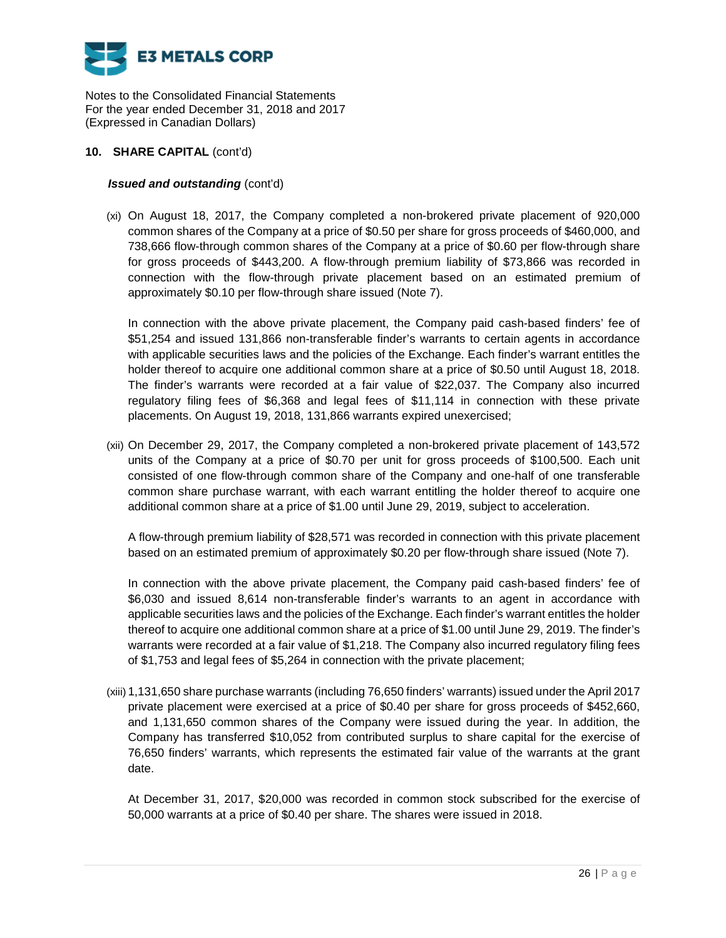

## **10. SHARE CAPITAL** (cont'd)

## *Issued and outstanding* (cont'd)

(xi) On August 18, 2017, the Company completed a non-brokered private placement of 920,000 common shares of the Company at a price of \$0.50 per share for gross proceeds of \$460,000, and 738,666 flow-through common shares of the Company at a price of \$0.60 per flow-through share for gross proceeds of \$443,200. A flow-through premium liability of \$73,866 was recorded in connection with the flow-through private placement based on an estimated premium of approximately \$0.10 per flow-through share issued (Note 7).

In connection with the above private placement, the Company paid cash-based finders' fee of \$51,254 and issued 131,866 non-transferable finder's warrants to certain agents in accordance with applicable securities laws and the policies of the Exchange. Each finder's warrant entitles the holder thereof to acquire one additional common share at a price of \$0.50 until August 18, 2018. The finder's warrants were recorded at a fair value of \$22,037. The Company also incurred regulatory filing fees of \$6,368 and legal fees of \$11,114 in connection with these private placements. On August 19, 2018, 131,866 warrants expired unexercised;

(xii) On December 29, 2017, the Company completed a non-brokered private placement of 143,572 units of the Company at a price of \$0.70 per unit for gross proceeds of \$100,500. Each unit consisted of one flow-through common share of the Company and one-half of one transferable common share purchase warrant, with each warrant entitling the holder thereof to acquire one additional common share at a price of \$1.00 until June 29, 2019, subject to acceleration.

A flow-through premium liability of \$28,571 was recorded in connection with this private placement based on an estimated premium of approximately \$0.20 per flow-through share issued (Note 7).

In connection with the above private placement, the Company paid cash-based finders' fee of \$6,030 and issued 8,614 non-transferable finder's warrants to an agent in accordance with applicable securities laws and the policies of the Exchange. Each finder's warrant entitles the holder thereof to acquire one additional common share at a price of \$1.00 until June 29, 2019. The finder's warrants were recorded at a fair value of \$1,218. The Company also incurred regulatory filing fees of \$1,753 and legal fees of \$5,264 in connection with the private placement;

(xiii) 1,131,650 share purchase warrants (including 76,650 finders' warrants) issued under the April 2017 private placement were exercised at a price of \$0.40 per share for gross proceeds of \$452,660, and 1,131,650 common shares of the Company were issued during the year. In addition, the Company has transferred \$10,052 from contributed surplus to share capital for the exercise of 76,650 finders' warrants, which represents the estimated fair value of the warrants at the grant date.

At December 31, 2017, \$20,000 was recorded in common stock subscribed for the exercise of 50,000 warrants at a price of \$0.40 per share. The shares were issued in 2018.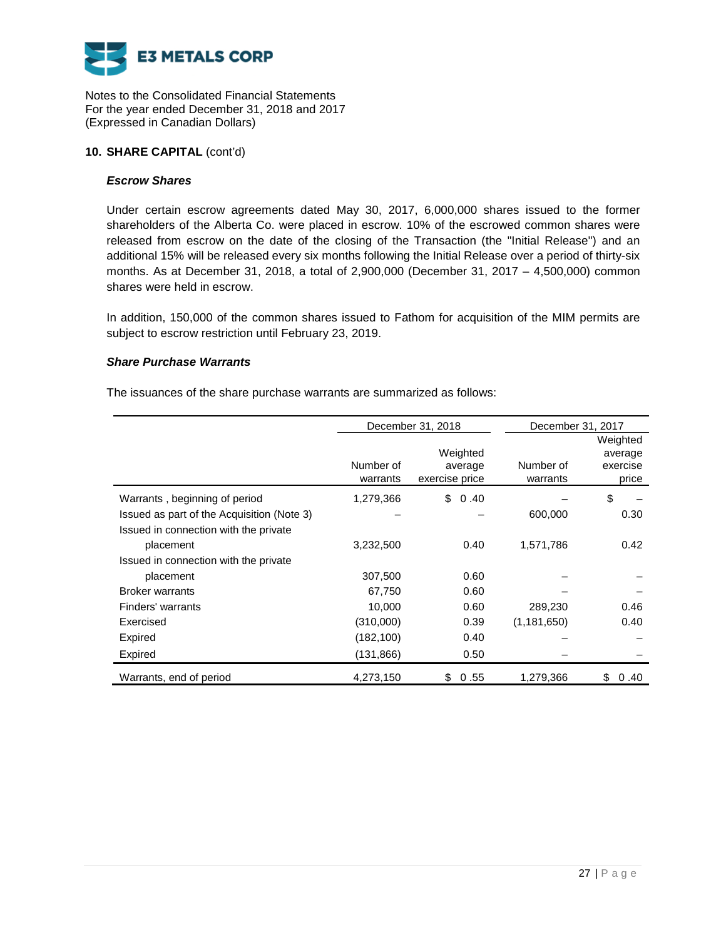

### **10. SHARE CAPITAL** (cont'd)

### *Escrow Shares*

Under certain escrow agreements dated May 30, 2017, 6,000,000 shares issued to the former shareholders of the Alberta Co. were placed in escrow. 10% of the escrowed common shares were released from escrow on the date of the closing of the Transaction (the "Initial Release") and an additional 15% will be released every six months following the Initial Release over a period of thirty-six months. As at December 31, 2018, a total of 2,900,000 (December 31, 2017 – 4,500,000) common shares were held in escrow.

In addition, 150,000 of the common shares issued to Fathom for acquisition of the MIM permits are subject to escrow restriction until February 23, 2019.

### *Share Purchase Warrants*

The issuances of the share purchase warrants are summarized as follows:

|                                            |            | December 31, 2018 | December 31, 2017 |            |
|--------------------------------------------|------------|-------------------|-------------------|------------|
|                                            |            |                   |                   | Weighted   |
|                                            |            | Weighted          |                   | average    |
|                                            | Number of  | average           | Number of         | exercise   |
|                                            | warrants   | exercise price    | warrants          | price      |
| Warrants, beginning of period              | 1,279,366  | \$<br>0.40        |                   | \$         |
| Issued as part of the Acquisition (Note 3) |            |                   | 600,000           | 0.30       |
| Issued in connection with the private      |            |                   |                   |            |
| placement                                  | 3,232,500  | 0.40              | 1,571,786         | 0.42       |
| Issued in connection with the private      |            |                   |                   |            |
| placement                                  | 307,500    | 0.60              |                   |            |
| <b>Broker warrants</b>                     | 67,750     | 0.60              |                   |            |
| Finders' warrants                          | 10,000     | 0.60              | 289,230           | 0.46       |
| Exercised                                  | (310,000)  | 0.39              | (1, 181, 650)     | 0.40       |
| Expired                                    | (182, 100) | 0.40              |                   |            |
| Expired                                    | (131, 866) | 0.50              |                   |            |
| Warrants, end of period                    | 4,273,150  | 0.55<br>\$        | 1,279,366         | \$<br>0.40 |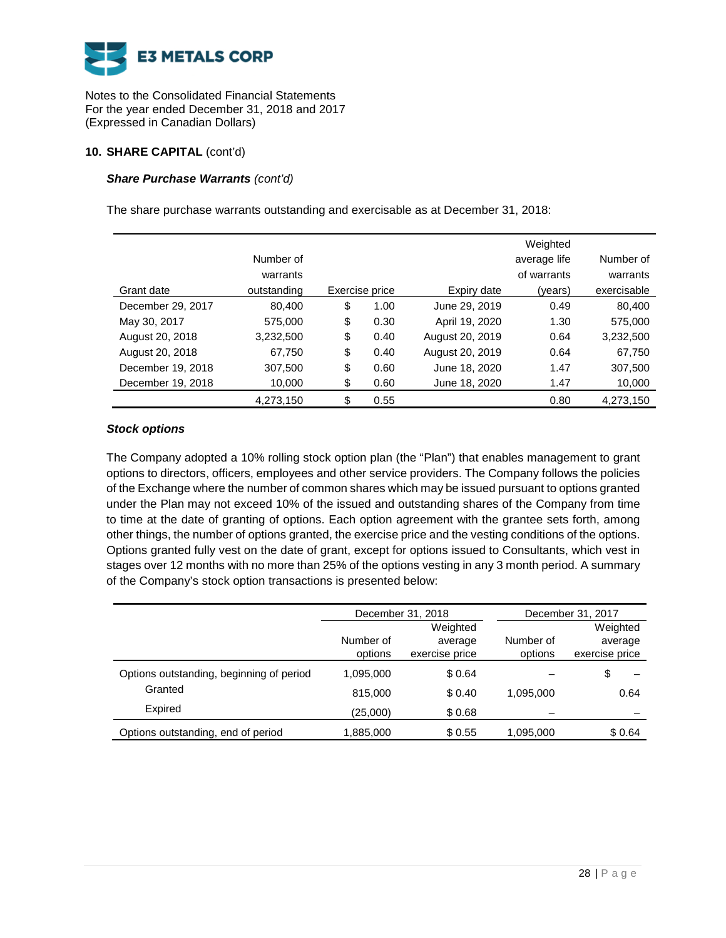

## **10. SHARE CAPITAL** (cont'd)

# *Share Purchase Warrants (cont'd)*

The share purchase warrants outstanding and exercisable as at December 31, 2018:

|                   |             |                |                 | Weighted     |             |
|-------------------|-------------|----------------|-----------------|--------------|-------------|
|                   | Number of   |                |                 | average life | Number of   |
|                   | warrants    |                |                 | of warrants  | warrants    |
| Grant date        | outstanding | Exercise price | Expiry date     | (years)      | exercisable |
| December 29, 2017 | 80,400      | \$<br>1.00     | June 29, 2019   | 0.49         | 80,400      |
| May 30, 2017      | 575,000     | \$<br>0.30     | April 19, 2020  | 1.30         | 575,000     |
| August 20, 2018   | 3,232,500   | \$<br>0.40     | August 20, 2019 | 0.64         | 3,232,500   |
| August 20, 2018   | 67,750      | \$<br>0.40     | August 20, 2019 | 0.64         | 67,750      |
| December 19, 2018 | 307,500     | \$<br>0.60     | June 18, 2020   | 1.47         | 307,500     |
| December 19, 2018 | 10,000      | \$<br>0.60     | June 18, 2020   | 1.47         | 10,000      |
|                   | 4,273,150   | \$<br>0.55     |                 | 0.80         | 4,273,150   |

# *Stock options*

The Company adopted a 10% rolling stock option plan (the "Plan") that enables management to grant options to directors, officers, employees and other service providers. The Company follows the policies of the Exchange where the number of common shares which may be issued pursuant to options granted under the Plan may not exceed 10% of the issued and outstanding shares of the Company from time to time at the date of granting of options. Each option agreement with the grantee sets forth, among other things, the number of options granted, the exercise price and the vesting conditions of the options. Options granted fully vest on the date of grant, except for options issued to Consultants, which vest in stages over 12 months with no more than 25% of the options vesting in any 3 month period. A summary of the Company's stock option transactions is presented below:

|                                          |           | December 31, 2018 |           | December 31, 2017 |
|------------------------------------------|-----------|-------------------|-----------|-------------------|
|                                          |           | Weighted          |           | Weighted          |
|                                          | Number of | average           | Number of | average           |
|                                          | options   | exercise price    | options   | exercise price    |
| Options outstanding, beginning of period | 1,095,000 | \$0.64            |           |                   |
| Granted                                  | 815,000   | \$0.40            | 1,095,000 | 0.64              |
| Expired                                  | (25,000)  | \$0.68            |           |                   |
| Options outstanding, end of period       | 1,885,000 | \$0.55            | 1,095,000 | \$0.64            |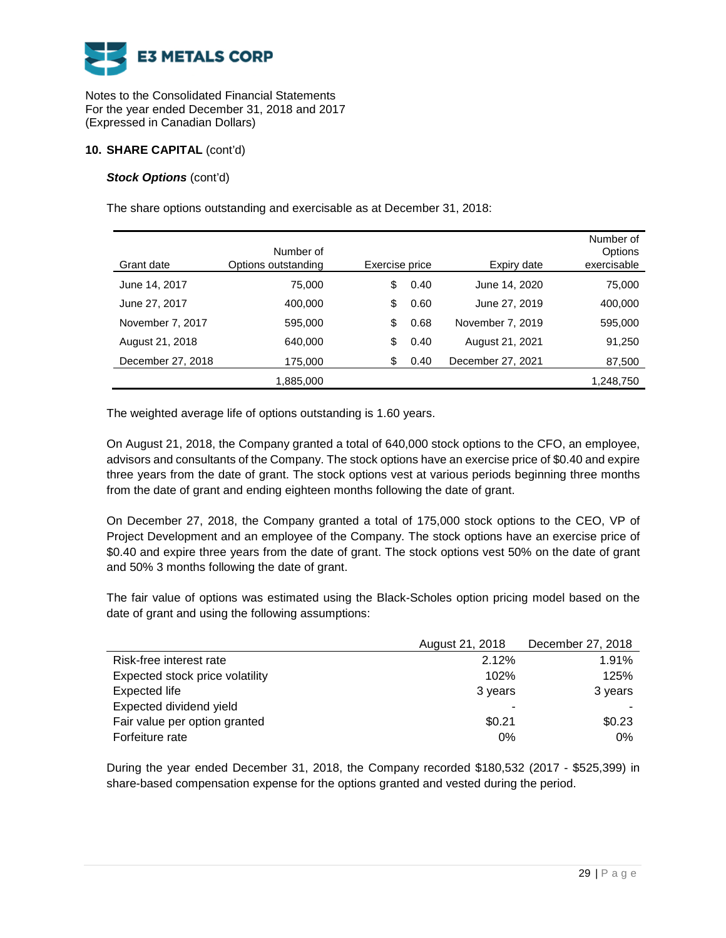

## **10. SHARE CAPITAL** (cont'd)

## *Stock Options (cont'd)*

The share options outstanding and exercisable as at December 31, 2018:

| Grant date        | Number of<br>Options outstanding | Exercise price |      | Expiry date       | Number of<br>Options<br>exercisable |
|-------------------|----------------------------------|----------------|------|-------------------|-------------------------------------|
| June 14, 2017     | 75,000                           | \$             | 0.40 | June 14, 2020     | 75,000                              |
| June 27, 2017     | 400.000                          | \$             | 0.60 | June 27, 2019     | 400,000                             |
| November 7, 2017  | 595,000                          | \$             | 0.68 | November 7, 2019  | 595,000                             |
| August 21, 2018   | 640,000                          | \$             | 0.40 | August 21, 2021   | 91,250                              |
| December 27, 2018 | 175,000                          | \$             | 0.40 | December 27, 2021 | 87,500                              |
|                   | 1,885,000                        |                |      |                   | 1,248,750                           |

The weighted average life of options outstanding is 1.60 years.

On August 21, 2018, the Company granted a total of 640,000 stock options to the CFO, an employee, advisors and consultants of the Company. The stock options have an exercise price of \$0.40 and expire three years from the date of grant. The stock options vest at various periods beginning three months from the date of grant and ending eighteen months following the date of grant.

On December 27, 2018, the Company granted a total of 175,000 stock options to the CEO, VP of Project Development and an employee of the Company. The stock options have an exercise price of \$0.40 and expire three years from the date of grant. The stock options vest 50% on the date of grant and 50% 3 months following the date of grant.

The fair value of options was estimated using the Black-Scholes option pricing model based on the date of grant and using the following assumptions:

|                                 | August 21, 2018 | December 27, 2018 |
|---------------------------------|-----------------|-------------------|
| Risk-free interest rate         | 2.12%           | 1.91%             |
| Expected stock price volatility | 102%            | 125%              |
| Expected life                   | 3 years         | 3 years           |
| Expected dividend yield         |                 |                   |
| Fair value per option granted   | \$0.21          | \$0.23            |
| Forfeiture rate                 | 0%              | $0\%$             |

During the year ended December 31, 2018, the Company recorded \$180,532 (2017 - \$525,399) in share-based compensation expense for the options granted and vested during the period.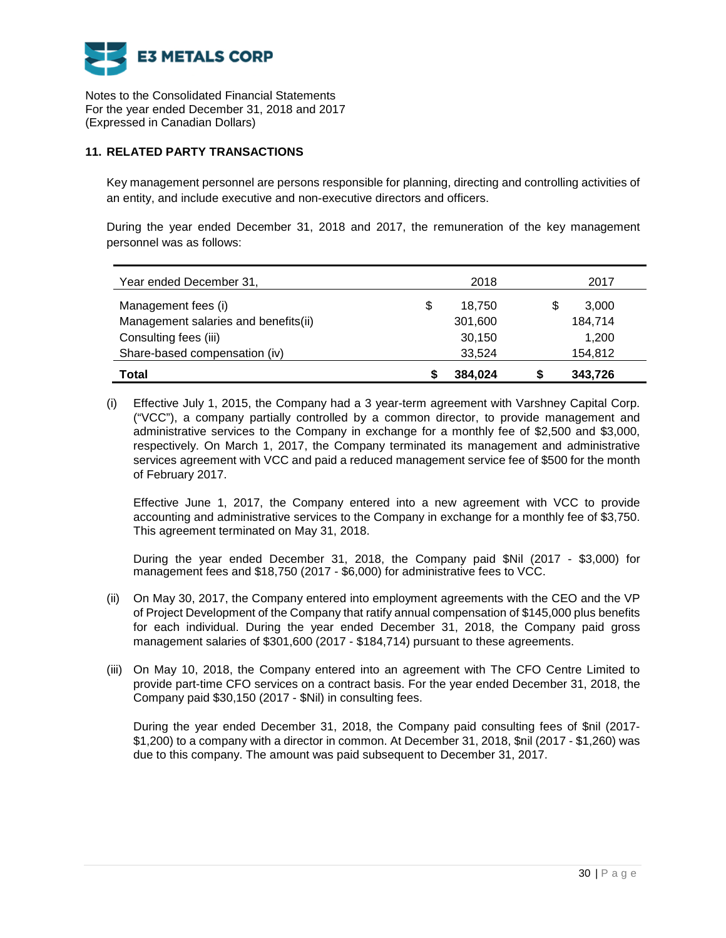

# **11. RELATED PARTY TRANSACTIONS**

Key management personnel are persons responsible for planning, directing and controlling activities of an entity, and include executive and non-executive directors and officers.

During the year ended December 31, 2018 and 2017, the remuneration of the key management personnel was as follows:

| Year ended December 31,              | 2018         | 2017    |
|--------------------------------------|--------------|---------|
| Management fees (i)                  | \$<br>18.750 | 3,000   |
| Management salaries and benefits(ii) | 301,600      | 184,714 |
| Consulting fees (iii)                | 30,150       | 1.200   |
| Share-based compensation (iv)        | 33.524       | 154,812 |
| Total                                | 384.024      | 343.726 |

(i) Effective July 1, 2015, the Company had a 3 year-term agreement with Varshney Capital Corp. ("VCC"), a company partially controlled by a common director, to provide management and administrative services to the Company in exchange for a monthly fee of \$2,500 and \$3,000, respectively. On March 1, 2017, the Company terminated its management and administrative services agreement with VCC and paid a reduced management service fee of \$500 for the month of February 2017.

Effective June 1, 2017, the Company entered into a new agreement with VCC to provide accounting and administrative services to the Company in exchange for a monthly fee of \$3,750. This agreement terminated on May 31, 2018.

During the year ended December 31, 2018, the Company paid \$Nil (2017 - \$3,000) for management fees and \$18,750 (2017 - \$6,000) for administrative fees to VCC.

- (ii) On May 30, 2017, the Company entered into employment agreements with the CEO and the VP of Project Development of the Company that ratify annual compensation of \$145,000 plus benefits for each individual. During the year ended December 31, 2018, the Company paid gross management salaries of \$301,600 (2017 - \$184,714) pursuant to these agreements.
- (iii) On May 10, 2018, the Company entered into an agreement with The CFO Centre Limited to provide part-time CFO services on a contract basis. For the year ended December 31, 2018, the Company paid \$30,150 (2017 - \$Nil) in consulting fees.

During the year ended December 31, 2018, the Company paid consulting fees of \$nil (2017- \$1,200) to a company with a director in common. At December 31, 2018, \$nil (2017 - \$1,260) was due to this company. The amount was paid subsequent to December 31, 2017.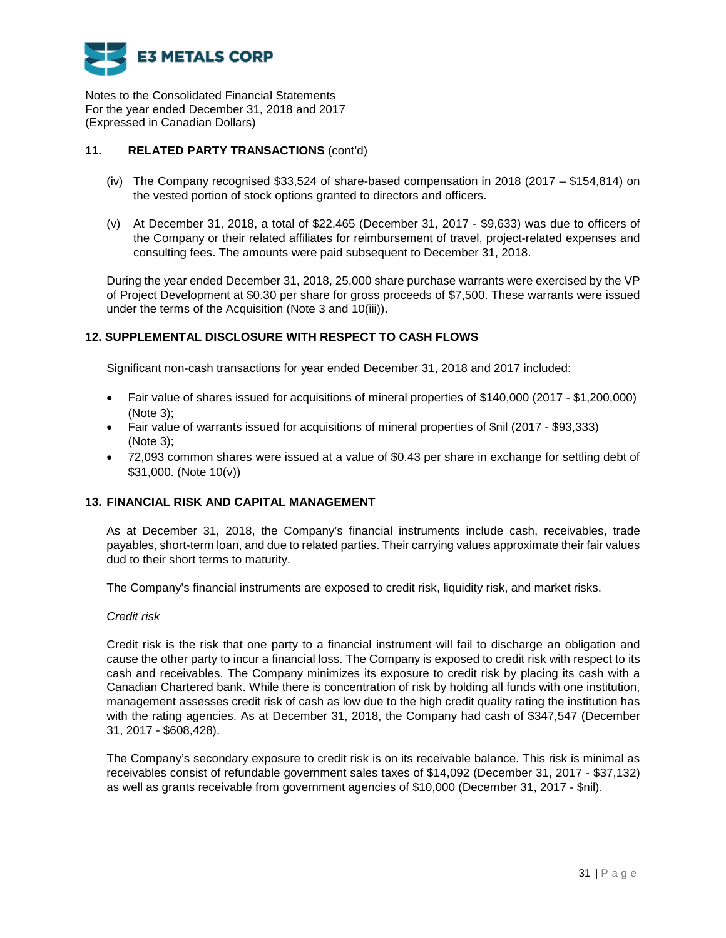

# **11. RELATED PARTY TRANSACTIONS** (cont'd)

- (iv) The Company recognised \$33,524 of share-based compensation in 2018 (2017 \$154,814) on the vested portion of stock options granted to directors and officers.
- (v) At December 31, 2018, a total of \$22,465 (December 31, 2017 \$9,633) was due to officers of the Company or their related affiliates for reimbursement of travel, project-related expenses and consulting fees. The amounts were paid subsequent to December 31, 2018.

During the year ended December 31, 2018, 25,000 share purchase warrants were exercised by the VP of Project Development at \$0.30 per share for gross proceeds of \$7,500. These warrants were issued under the terms of the Acquisition (Note 3 and 10(iii)).

# **12. SUPPLEMENTAL DISCLOSURE WITH RESPECT TO CASH FLOWS**

Significant non-cash transactions for year ended December 31, 2018 and 2017 included:

- Fair value of shares issued for acquisitions of mineral properties of \$140,000 (2017 \$1,200,000) (Note 3);
- Fair value of warrants issued for acquisitions of mineral properties of \$nil (2017 \$93,333) (Note 3);
- 72,093 common shares were issued at a value of \$0.43 per share in exchange for settling debt of \$31,000. (Note 10(v))

### **13. FINANCIAL RISK AND CAPITAL MANAGEMENT**

As at December 31, 2018, the Company's financial instruments include cash, receivables, trade payables, short-term loan, and due to related parties. Their carrying values approximate their fair values dud to their short terms to maturity.

The Company's financial instruments are exposed to credit risk, liquidity risk, and market risks.

### *Credit risk*

Credit risk is the risk that one party to a financial instrument will fail to discharge an obligation and cause the other party to incur a financial loss. The Company is exposed to credit risk with respect to its cash and receivables. The Company minimizes its exposure to credit risk by placing its cash with a Canadian Chartered bank. While there is concentration of risk by holding all funds with one institution, management assesses credit risk of cash as low due to the high credit quality rating the institution has with the rating agencies. As at December 31, 2018, the Company had cash of \$347,547 (December 31, 2017 - \$608,428).

The Company's secondary exposure to credit risk is on its receivable balance. This risk is minimal as receivables consist of refundable government sales taxes of \$14,092 (December 31, 2017 - \$37,132) as well as grants receivable from government agencies of \$10,000 (December 31, 2017 - \$nil).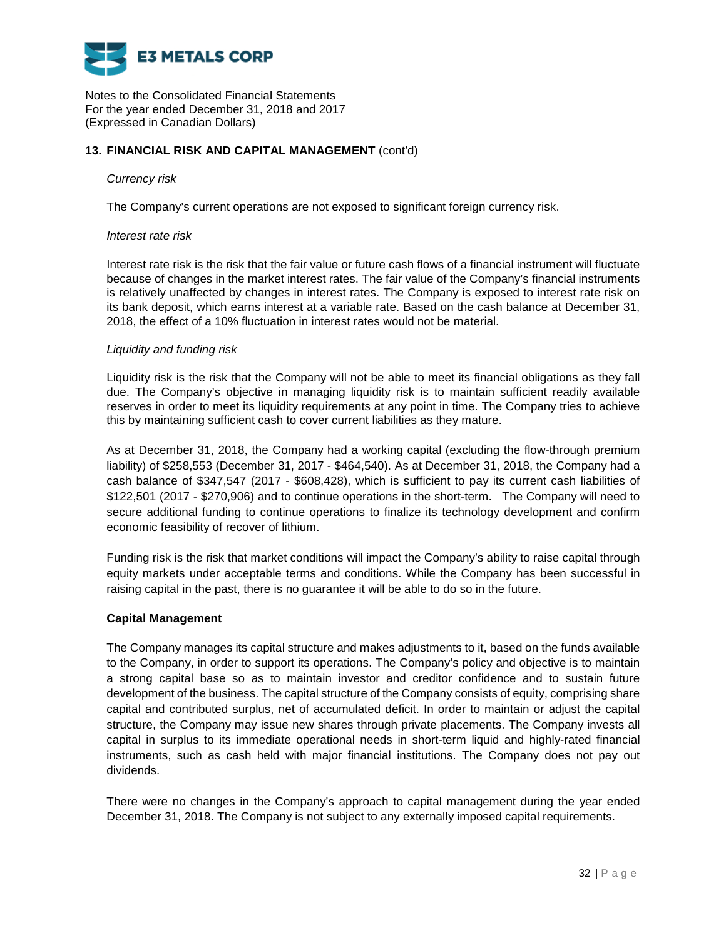

## **13. FINANCIAL RISK AND CAPITAL MANAGEMENT** (cont'd)

### *Currency risk*

The Company's current operations are not exposed to significant foreign currency risk.

### *Interest rate risk*

Interest rate risk is the risk that the fair value or future cash flows of a financial instrument will fluctuate because of changes in the market interest rates. The fair value of the Company's financial instruments is relatively unaffected by changes in interest rates. The Company is exposed to interest rate risk on its bank deposit, which earns interest at a variable rate. Based on the cash balance at December 31, 2018, the effect of a 10% fluctuation in interest rates would not be material.

### *Liquidity and funding risk*

Liquidity risk is the risk that the Company will not be able to meet its financial obligations as they fall due. The Company's objective in managing liquidity risk is to maintain sufficient readily available reserves in order to meet its liquidity requirements at any point in time. The Company tries to achieve this by maintaining sufficient cash to cover current liabilities as they mature.

As at December 31, 2018, the Company had a working capital (excluding the flow-through premium liability) of \$258,553 (December 31, 2017 - \$464,540). As at December 31, 2018, the Company had a cash balance of \$347,547 (2017 - \$608,428), which is sufficient to pay its current cash liabilities of \$122,501 (2017 - \$270,906) and to continue operations in the short-term. The Company will need to secure additional funding to continue operations to finalize its technology development and confirm economic feasibility of recover of lithium.

Funding risk is the risk that market conditions will impact the Company's ability to raise capital through equity markets under acceptable terms and conditions. While the Company has been successful in raising capital in the past, there is no guarantee it will be able to do so in the future.

### **Capital Management**

The Company manages its capital structure and makes adjustments to it, based on the funds available to the Company, in order to support its operations. The Company's policy and objective is to maintain a strong capital base so as to maintain investor and creditor confidence and to sustain future development of the business. The capital structure of the Company consists of equity, comprising share capital and contributed surplus, net of accumulated deficit. In order to maintain or adjust the capital structure, the Company may issue new shares through private placements. The Company invests all capital in surplus to its immediate operational needs in short-term liquid and highly-rated financial instruments, such as cash held with major financial institutions. The Company does not pay out dividends.

There were no changes in the Company's approach to capital management during the year ended December 31, 2018. The Company is not subject to any externally imposed capital requirements.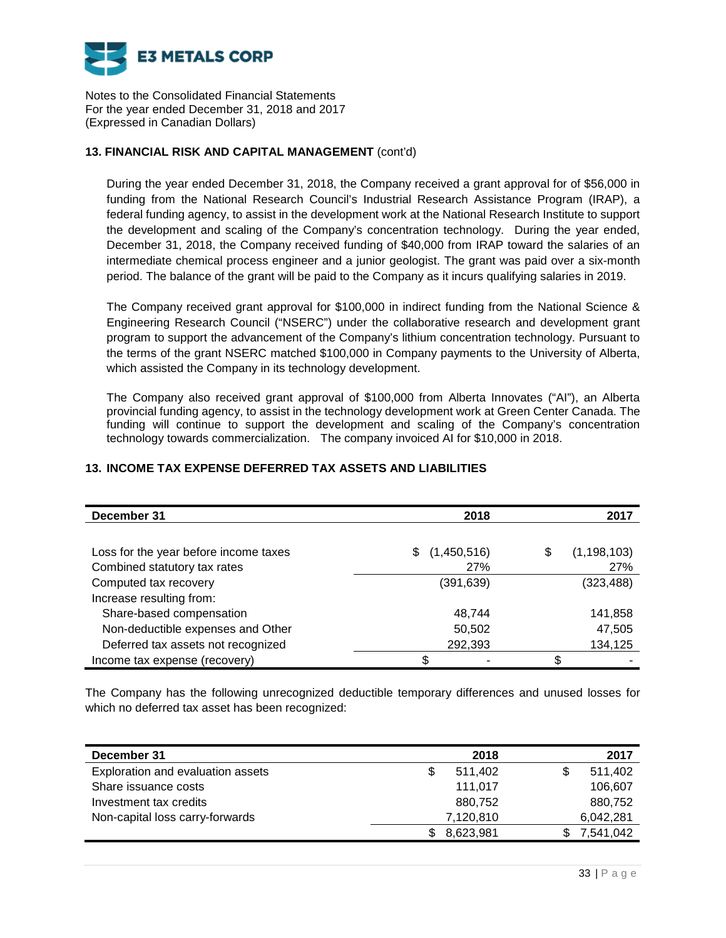

# **13. FINANCIAL RISK AND CAPITAL MANAGEMENT** (cont'd)

During the year ended December 31, 2018, the Company received a grant approval for of \$56,000 in funding from the National Research Council's Industrial Research Assistance Program (IRAP), a federal funding agency, to assist in the development work at the National Research Institute to support the development and scaling of the Company's concentration technology. During the year ended, December 31, 2018, the Company received funding of \$40,000 from IRAP toward the salaries of an intermediate chemical process engineer and a junior geologist. The grant was paid over a six-month period. The balance of the grant will be paid to the Company as it incurs qualifying salaries in 2019.

The Company received grant approval for \$100,000 in indirect funding from the National Science & Engineering Research Council ("NSERC") under the collaborative research and development grant program to support the advancement of the Company's lithium concentration technology. Pursuant to the terms of the grant NSERC matched \$100,000 in Company payments to the University of Alberta, which assisted the Company in its technology development.

The Company also received grant approval of \$100,000 from Alberta Innovates ("AI"), an Alberta provincial funding agency, to assist in the technology development work at Green Center Canada. The funding will continue to support the development and scaling of the Company's concentration technology towards commercialization. The company invoiced AI for \$10,000 in 2018.

| December 31                           | 2018              | 2017                |
|---------------------------------------|-------------------|---------------------|
|                                       |                   |                     |
| Loss for the year before income taxes | (1,450,516)<br>\$ | (1, 198, 103)<br>\$ |
| Combined statutory tax rates          | 27%               | 27%                 |
| Computed tax recovery                 | (391, 639)        | (323, 488)          |
| Increase resulting from:              |                   |                     |
| Share-based compensation              | 48,744            | 141,858             |
| Non-deductible expenses and Other     | 50,502            | 47,505              |
| Deferred tax assets not recognized    | 292,393           | 134,125             |
| Income tax expense (recovery)         | \$                | \$                  |

# **13. INCOME TAX EXPENSE DEFERRED TAX ASSETS AND LIABILITIES**

The Company has the following unrecognized deductible temporary differences and unused losses for which no deferred tax asset has been recognized:

| December 31                       | 2018         |           | 2017    |
|-----------------------------------|--------------|-----------|---------|
| Exploration and evaluation assets | 511.402<br>S |           | 511.402 |
| Share issuance costs              | 111.017      |           | 106,607 |
| Investment tax credits            | 880.752      |           | 880,752 |
| Non-capital loss carry-forwards   | 7,120,810    | 6,042,281 |         |
|                                   | 8,623,981    | 7,541,042 |         |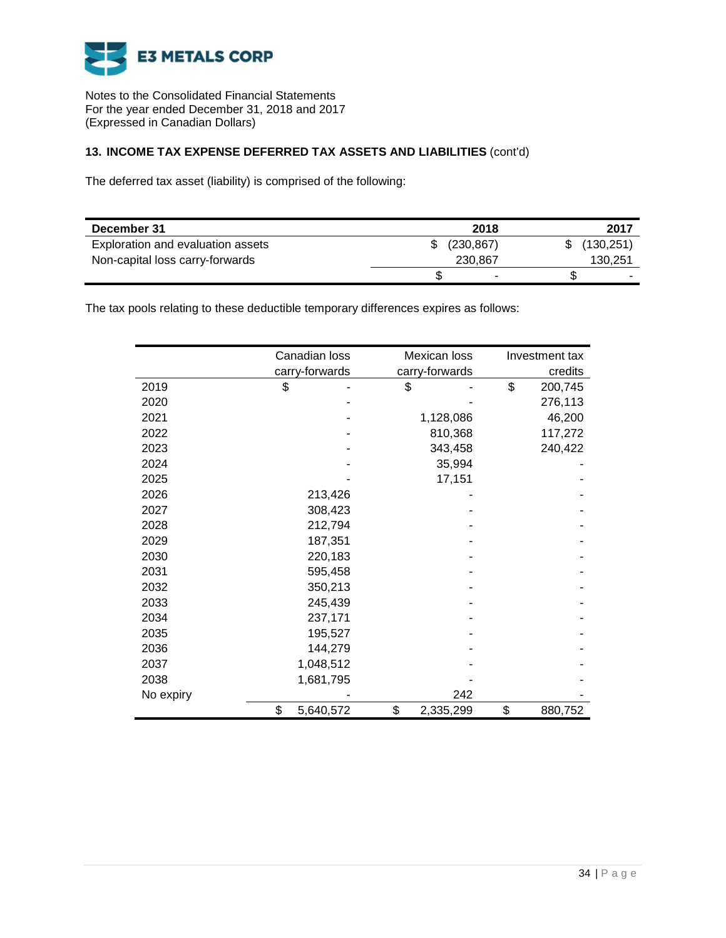

# **13. INCOME TAX EXPENSE DEFERRED TAX ASSETS AND LIABILITIES** (cont'd)

The deferred tax asset (liability) is comprised of the following:

| December 31                       | 2018       | 2017       |
|-----------------------------------|------------|------------|
| Exploration and evaluation assets | (230, 867) | (130, 251) |
| Non-capital loss carry-forwards   | 230,867    | 130,251    |
|                                   | -          |            |

The tax pools relating to these deductible temporary differences expires as follows:

|           | Canadian loss   | Mexican loss    | Investment tax |
|-----------|-----------------|-----------------|----------------|
|           | carry-forwards  | carry-forwards  | credits        |
| 2019      | \$              | \$              | \$<br>200,745  |
| 2020      |                 |                 | 276,113        |
| 2021      |                 | 1,128,086       | 46,200         |
| 2022      |                 | 810,368         | 117,272        |
| 2023      |                 | 343,458         | 240,422        |
| 2024      |                 | 35,994          |                |
| 2025      |                 | 17,151          |                |
| 2026      | 213,426         |                 |                |
| 2027      | 308,423         |                 |                |
| 2028      | 212,794         |                 |                |
| 2029      | 187,351         |                 |                |
| 2030      | 220,183         |                 |                |
| 2031      | 595,458         |                 |                |
| 2032      | 350,213         |                 |                |
| 2033      | 245,439         |                 |                |
| 2034      | 237,171         |                 |                |
| 2035      | 195,527         |                 |                |
| 2036      | 144,279         |                 |                |
| 2037      | 1,048,512       |                 |                |
| 2038      | 1,681,795       |                 |                |
| No expiry |                 | 242             |                |
|           | \$<br>5,640,572 | \$<br>2,335,299 | \$<br>880,752  |